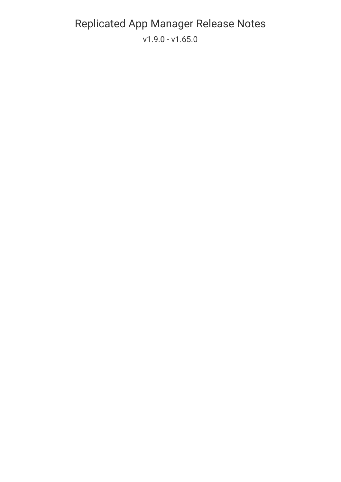### [Replicated](https://github.com/replicatedhq/kots/releases) App Manager Release Notes v1.9.0 - [v1.65.0](https://kots.io/search)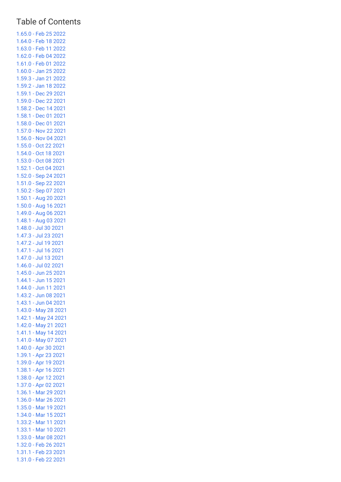#### Table of Contents

[1.65.0](#page-4-0) - Feb 25 2022 [1.64.0](#page-4-1) - Feb 18 2022 [1.63.0](#page-4-2) - Feb 11 2022 [1.62.0](#page-4-3) - Feb 04 2022 [1.61.0](#page-5-0) - Feb 01 2022 [1.60.0](#page-5-1) - Jan 25 2022 [1.59.3](#page-6-0) - Jan 21 2022 [1.59.2](#page-6-1) - Jan 18 2022 [1.59.1](#page-6-2) - Dec 29 2021 [1.59.0](#page-6-3) - Dec 22 2021 [1.58.2](#page-7-0) - Dec 14 2021 [1.58.1](#page-7-1) - Dec 01 2021 [1.58.0](#page-7-2) - Dec 01 2021 [1.57.0](#page-7-3) - Nov 22 2021 [1.56.0](#page-8-0) - Nov 04 2021 [1.55.0](#page-8-1) - Oct 22 2021 [1.54.0](#page-9-0) - Oct 18 2021 [1.53.0](#page-9-1) - Oct 08 2021 [1.52.1](#page-9-2) - Oct 04 2021 [1.52.0](#page-9-3) - Sep 24 2021 [1.51.0](#page-10-0) - Sep 22 2021 [1.50.2](#page-10-1) - Sep 07 2021 [1.50.1](#page-10-2) - Aug 20 2021 [1.50.0](#page-11-0) - Aug 16 2021 [1.49.0](#page-11-1) - Aug 06 2021 [1.48.1](#page-12-0) - Aug 03 2021 [1.48.0](#page-12-1) - Jul 30 2021 [1.47.3](#page-12-2) - Jul 23 2021 [1.47.2](#page-13-0) - Jul 19 2021 [1.47.1](#page-13-1) - Jul 16 2021 [1.47.0](#page-13-2) - Jul 13 2021 [1.46.0](#page-13-3) - Jul 02 2021 [1.45.0](#page-14-0) - Jun 25 2021 [1.44.1](#page-14-1) - Jun 15 2021 [1.44.0](#page-14-2) - Jun 11 2021 [1.43.2](#page-15-0) - Jun 08 2021 [1.43.1](#page-15-1) - Jun 04 2021 [1.43.0](#page-15-2) - May 28 2021 [1.42.1](#page-16-0) - May 24 2021 [1.42.0](#page-16-1) - May 21 2021 [1.41.1](#page-16-2) - May 14 2021 [1.41.0](#page-17-0) - May 07 2021 [1.40.0](#page-17-1) - Apr 30 2021 [1.39.1](#page-18-0) - Apr 23 2021 [1.39.0](#page-18-1) - Apr 19 2021 [1.38.1](#page-18-2) - Apr 16 2021 [1.38.0](#page-19-0) - Apr 12 2021 [1.37.0](#page-19-1) - Apr 02 2021 [1.36.1](#page-20-0) - Mar 29 2021 [1.36.0](#page-20-1) - Mar 26 2021 [1.35.0](#page-20-2) - Mar 19 2021 [1.34.0](#page-21-0) - Mar 15 2021 [1.33.2](#page-21-1) - Mar 11 2021 [1.33.1](#page-21-2) - Mar 10 2021 [1.33.0](#page-21-3) - Mar 08 2021 [1.32.0](#page-22-0) - Feb 26 2021 [1.31.1](#page-22-1) - Feb 23 2021 [1.31.0](#page-23-0) - Feb 22 2021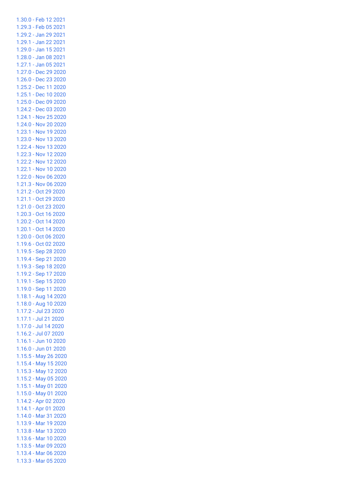[1.30.0](#page-23-1) - Feb 12 2021 [1.29.3](#page-23-2) - Feb 05 2021 [1.29.2](#page-24-0) - Jan 29 2021 [1.29.1](#page-24-1) - Jan 22 2021 [1.29.0](#page-24-2) - Jan 15 2021 [1.28.0](#page-24-3) - Jan 08 2021 [1.27.1](#page-25-0) - Jan 05 2021 [1.27.0](#page-25-1) - Dec 29 2020 [1.26.0](#page-25-2) - Dec 23 2020 [1.25.2](#page-26-0) - Dec 11 2020 [1.25.1](#page-26-1) - Dec 10 2020 [1.25.0](#page-26-2) - Dec 09 2020 [1.24.2](#page-27-0) - Dec 03 2020 [1.24.1](#page-27-1) - Nov 25 2020 [1.24.0](#page-27-2) - Nov 20 2020 [1.23.1](#page-27-3) - Nov 19 2020 [1.23.0](#page-28-0) - Nov 13 2020 [1.22.4](#page-28-1) - Nov 13 2020 [1.22.3](#page-28-2) - Nov 12 2020 [1.22.2](#page-28-3) - Nov 12 2020 [1.22.1](#page-29-0) - Nov 10 2020 [1.22.0](#page-29-1) - Nov 06 2020 [1.21.3](#page-29-2) - Nov 06 2020 [1.21.2](#page-29-3) - Oct 29 2020 [1.21.1](#page-29-4) - Oct 29 2020 [1.21.0](#page-30-0) - Oct 23 2020 [1.20.3](#page-30-1) - Oct 16 2020 [1.20.2](#page-30-2) - Oct 14 2020 [1.20.1](#page-30-3) - Oct 14 2020 [1.20.0](#page-30-4) - Oct 06 2020 [1.19.6](#page-31-0) - Oct 02 2020 [1.19.5](#page-31-1) - Sep 28 2020 [1.19.4](#page-32-0) - Sep 21 2020 [1.19.3](#page-32-1) - Sep 18 2020 [1.19.2](#page-32-2) - Sep 17 2020 [1.19.1](#page-32-3) - Sep 15 2020 [1.19.0](#page-32-4) - Sep 11 2020 [1.18.1](#page-33-0) - Aug 14 2020 [1.18.0](#page-34-0) - Aug 10 2020 [1.17.2](#page-35-0) - Jul 23 2020 [1.17.1](#page-35-1) - Jul 21 2020 [1.17.0](#page-35-2) - Jul 14 2020 [1.16.2](#page-36-0) - Jul 07 2020 [1.16.1](#page-36-1) - Jun 10 2020 [1.16.0](#page-37-0) - Jun 01 2020 [1.15.5](#page-37-1) - May 26 2020 [1.15.4](#page-37-2) - May 15 2020 [1.15.3](#page-38-0) - May 12 2020 [1.15.2](#page-38-1) - May 05 2020 [1.15.1](#page-38-2) - May 01 2020 [1.15.0](#page-38-3) - May 01 2020 [1.14.2](#page-39-0) - Apr 02 2020 [1.14.1](#page-39-1) - Apr 01 2020 [1.14.0](#page-40-0) - Mar 31 2020 [1.13.9](#page-40-1) - Mar 19 2020 [1.13.8](#page-40-2) - Mar 13 2020 [1.13.6](#page-41-0) - Mar 10 2020 [1.13.5](#page-41-1) - Mar 09 2020 [1.13.4](#page-41-2) - Mar 06 2020 [1.13.3](#page-41-3) - Mar 05 2020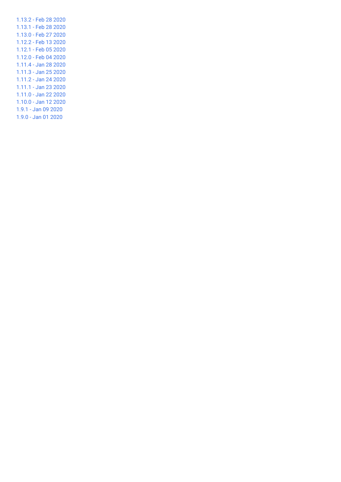[1.13.2](#page-41-4) - Feb 28 2020 [1.13.1](#page-42-0) - Feb 28 2020 [1.13.0](#page-42-1) - Feb 27 2020 [1.12.2](#page-43-0) - Feb 13 2020 [1.12.1](#page-44-0) - Feb 05 2020 [1.12.0](#page-44-1) - Feb 04 2020 [1.11.4](#page-45-0) - Jan 28 2020 [1.11.3](#page-45-1) - Jan 25 2020 [1.11.2](#page-45-2) - Jan 24 2020 [1.11.1](#page-45-3) - Jan 23 2020 [1.11.0](#page-45-4) - Jan 22 2020 [1.10.0](#page-46-0) - Jan 12 2020 1.9.1 - Jan 09 [2020](#page-46-1) 1.9.0 - Jan 01 [2020](#page-46-2)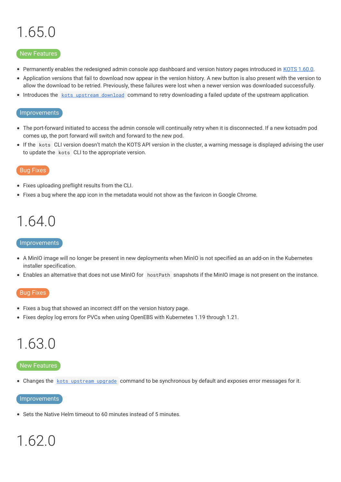# <span id="page-4-0"></span>1.65.0

#### New Features

- Permanently enables the redesigned admin console app dashboard and version history pages introduced in KOTS [1.60.0](https://kots.io/release-notes/1.60.0/).
- Application versions that fail to download now appear in the version history. A new button is also present with the version to  $\bullet$ allow the download to be retried. Previously, these failures were lost when a newer version was downloaded successfully.
- Introduces the kots [upstream](https://kots.io/kots-cli/upstream/download) download command to retry downloading a failed update of the upstream application.

#### Improvements

- The port-forward initiated to access the admin console will continually retry when it is disconnected. If a new kotsadm pod comes up, the port forward will switch and forward to the new pod.
- If the kots CLI version doesn't match the KOTS API version in the cluster, a warning message is displayed advising the user to update the kots CLI to the appropriate version.

#### Bug Fixes

- Fixes uploading preflight results from the CLI.
- Fixes a bug where the app icon in the metadata would not show as the favicon in Google Chrome.

### <span id="page-4-1"></span>1.64.0

#### Improvements

- A MinIO image will no longer be present in new deployments when MinIO is not specified as an add-on in the Kubernetes installer specification.
- Enables an alternative that does not use MinIO for hostPath snapshots if the MinIO image is not present on the instance.

#### Bug Fixes

- Fixes a bug that showed an incorrect diff on the version history page.
- Fixes deploy log errors for PVCs when using OpenEBS with Kubernetes 1.19 through 1.21.

# <span id="page-4-2"></span>1.63.0

#### New Features

• Changes the kots [upstream](https://kots.io/kots-cli/upstream/upgrade/) upgrade command to be synchronous by default and exposes error messages for it.

#### Improvements

Sets the Native Helm timeout to 60 minutes instead of 5 minutes.

# <span id="page-4-3"></span>1.62.0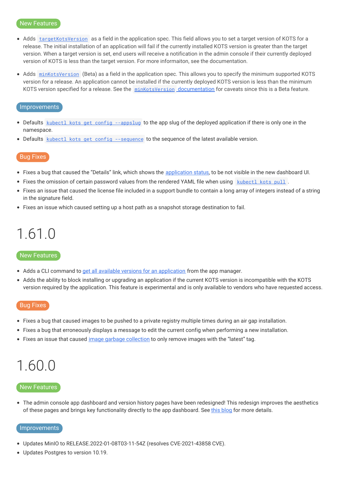#### New Features

- Adds [targetKotsVersion](https://kots.io/reference/v1beta1/application/#targetkotsversion) as a field in the application spec. This field allows you to set a target version of KOTS for a release. The initial installation of an application will fail if the currently installed KOTS version is greater than the target version. When a target version is set, end users will receive a notification in the admin console if their currently deployed version of KOTS is less than the target version. For more informaiton, see the documentation.
- Adds [minKotsVersion](https://kots.io/reference/v1beta1/application/#minkotsversion-beta) (Beta) as a field in the application spec. This allows you to specify the minimum supported KOTS version for a release. An application cannot be installed if the currently deployed KOTS version is less than the minimum KOTS version specified for a release. See the minKotsVersion [documentation](https://kots.io/reference/v1beta1/application/#minkotsversion-beta) for caveats since this is a Beta feature.

#### Improvements

- Defaults kubectl kots get config [--appslug](https://kots.io/kots-cli/get/config/) to the app slug of the deployed application if there is only one in the namespace.
- Defaults kubectl kots get config [--sequence](https://kots.io/kots-cli/get/config/) to the sequence of the latest available version.

#### Bug Fixes

- Fixes a bug that caused the "Details" link, which shows the [application](https://kots.io/vendor/config/application-status/) status, to be not visible in the new dashboard UI.
- Fixes the omission of certain password values from the rendered YAML file when using [kubectl](https://kots.io/kots-cli/get/config/) kots pull.
- Fixes an issue that caused the license file included in a support bundle to contain a long array of integers instead of a string in the signature field.
- Fixes an issue which caused setting up a host path as a snapshot storage destination to fail.

### <span id="page-5-0"></span>1.61.0

#### New Features

- Adds a CLI command to get all available versions for an [application](https://kots.io/kots-cli/get/versions/) from the app manager.
- Adds the ability to block installing or upgrading an application if the current KOTS version is incompatible with the KOTS version required by the application. This feature is experimental and is only available to vendors who have requested access.

#### Bug Fixes

- Fixes a bug that caused images to be pushed to a private registry multiple times during an air gap installation.
- Fixes a bug that erroneously displays a message to edit the current config when performing a new installation.
- Fixes an issue that caused image garbage [collection](https://kots.io/kotsadm/registries/kurl-registry/#image-garbage-collection) to only remove images with the "latest" tag.

### <span id="page-5-1"></span>1.60.0

#### New Features

The admin console app dashboard and version history pages have been redesigned! This redesign improves the aesthetics of these pages and brings key functionality directly to the app dashboard. See this [blog](https://www.replicated.com/blog/new-features-announced-improvements-to-ux-host-preflights/) for more details.

#### **Improvements**

- Updates MinIO to RELEASE.2022-01-08T03-11-54Z (resolves CVE-2021-43858 CVE).
- Updates Postgres to version 10.19.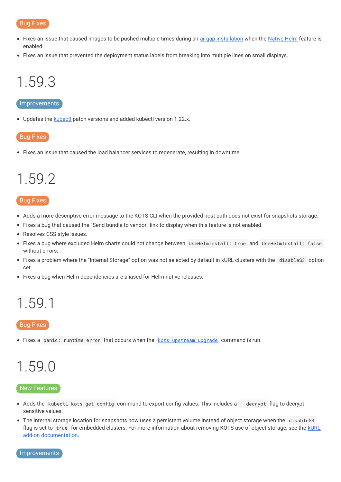- Fixes an issue that caused images to be pushed multiple times during an *airgap [installation](https://kots.io/kotsadm/installing/airgap-packages/#upload-airgap-bundle)* when the **[Native](https://kots.io/vendor/helm/helm-processing/#native-helm) Helm** feature is enabled.
- Fixes an issue that prevented the deployment status labels from breaking into multiple lines on small displays.

# <span id="page-6-0"></span>1.59.3

#### Improvements

• Updates the [kubectl](https://kots.io/reference/v1beta1/application/#kubectlversion) patch versions and added kubectl version 1.22.x.

#### Bug Fixes

Fixes an issue that caused the load balancer services to regenerate, resulting in downtime.

### <span id="page-6-1"></span>1.59.2

#### Bug Fixes

- Adds a more descriptive error message to the KOTS CLI when the provided host path does not exist for snapshots storage.
- Fixes a bug that caused the "Send bundle to vendor" link to display when this feature is not enabled.
- Resolves CSS style issues.
- Fixes a bug where excluded Helm charts could not change between UseHelmInstall: true and UseHelmInstall: false without errors.
- Fixes a problem where the "Internal Storage" option was not selected by default in kURL clusters with the disableS3 option set.
- Fixes a bug when Helm dependencies are aliased for Helm-native releases.

### <span id="page-6-2"></span>1.59.1

#### Bug Fixes

• Fixes a panic: runtime error that occurs when the kots [upstream](https://kots.io/kots-cli/upstream/upgrade/) upgrade command is run.

### <span id="page-6-3"></span>1.59.0

#### New Features

- Adds the kubectl kots get config command to export config values. This includes a --decrypt flag to decrypt sensitive values.
- The internal storage location for snapshots now uses a persistent volume instead of object storage when the disableS3 flag is set to true for embedded clusters. For more information about removing KOTS use of object storage, see the kURL add-on [documentation.](https://kurl.sh/docs/add-ons/kotsadm)

Improvements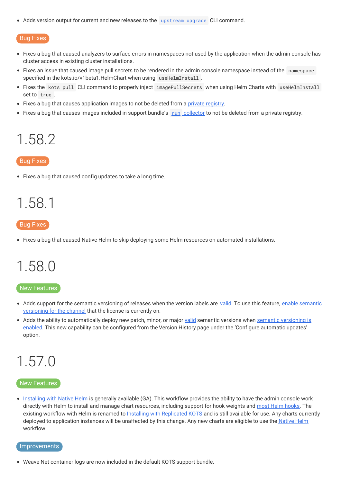• Adds version output for current and new releases to the [upstream](https://kots.io/kots-cli/upstream/upgrade/) upgrade CLI command.

#### Bug Fixes

- Fixes a bug that caused analyzers to surface errors in namespaces not used by the application when the admin console has cluster access in existing cluster installations.
- Fixes an issue that caused image pull secrets to be rendered in the admin console namespace instead of the namespace specified in the kots.io/v1beta1.HelmChart when using useHelmInstall.
- Fixes the kots pull CLI command to properly inject imagePullSecrets when using Helm Charts with useHelmInstall set to true .
- Fixes a bug that causes application images to not be deleted from a private [registry](https://kots.io/kotsadm/registries/kurl-registry/).
- Fixes a bug that causes images included in support bundle's run [collector](https://troubleshoot.sh/docs/collect/run/#image-required) to not be deleted from a private registry.

### <span id="page-7-0"></span>1.58.2

#### Bug Fixes

Fixes a bug that caused config updates to take a long time.

### <span id="page-7-1"></span>1.58.1

#### Bug Fixes

Fixes a bug that caused Native Helm to skip deploying some Helm resources on automated installations.

### <span id="page-7-2"></span>1.58.0

#### New Features

- Adds support for the semantic [versioning](https://kots.io/vendor/packaging/promoting-releases/#semantic-versioning) of releases when the version labels are [valid.](https://semver.org/) To use this feature, enable semantic versioning for the channel that the license is currently on.
- Adds the ability to [automatically](https://kots.io/vendor/packaging/promoting-releases/#semantic-versioning) deploy new patch, minor, or major [valid](https://semver.org/) semantic versions when semantic versioning is enabled. This new capability can be configured from the Version History page under the 'Configure automatic updates' option.

### <span id="page-7-3"></span>1.57.0

#### New Features

• [Installing](https://kots.io/vendor/helm/using-native-helm-charts/) with Native Helm is generally available (GA). This workflow provides the ability to have the admin console work directly with Helm to install and manage chart resources, including support for hook weights and most Helm [hooks](https://kots.io/vendor/helm/using-native-helm-charts/#helm-hooks-and-weights). The existing workflow with Helm is renamed to Installing with [Replicated](https://kots.io/vendor/helm/using-replicated-helm-charts/) KOTS and is still available for use. Any charts currently deployed to application instances will be unaffected by this change. Any new charts are eligible to use the [Native](https://kots.io/vendor/helm/using-native-helm-charts/) Helm workflow.

#### Improvements

Weave Net container logs are now included in the default KOTS support bundle.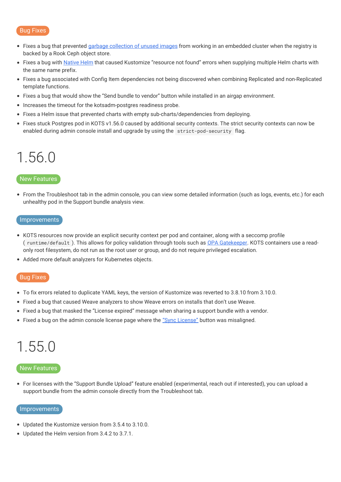- Fixes a bug that prevented garbage [collection](https://kots.io/kots-cli/admin-console/garbage-collect-images/) of unused images from working in an embedded cluster when the registry is backed by a Rook Ceph object store.
- Fixes a bug with [Native](https://kots.io/vendor/helm/using-native-helm-charts/) Helm that caused Kustomize "resource not found" errors when supplying multiple Helm charts with the same name prefix.
- Fixes a bug associated with Config Item dependencies not being discovered when combining Replicated and non-Replicated template functions.
- Fixes a bug that would show the "Send bundle to vendor" button while installed in an airgap environment.
- Increases the timeout for the kotsadm-postgres readiness probe.
- Fixes a Helm issue that prevented charts with empty sub-charts/dependencies from deploying.
- Fixes stuck Postgres pod in KOTS v1.56.0 caused by additional security contexts. The strict security contexts can now be enabled during admin console install and upgrade by using the strict-pod-security flag.

### <span id="page-8-0"></span>1.56.0

#### New Features

From the Troubleshoot tab in the admin console, you can view some detailed information (such as logs, events, etc.) for each unhealthy pod in the Support bundle analysis view.

#### Improvements

- KOTS resources now provide an explicit security context per pod and container, along with a seccomp profile ( runtime/default ). This allows for policy validation through tools such as OPA [Gatekeeper](https://open-policy-agent.github.io/gatekeeper/website/docs/). KOTS containers use a readonly root filesystem, do not run as the root user or group, and do not require privileged escalation.
- Added more default analyzers for Kubernetes objects.

#### Bug Fixes

- To fix errors related to duplicate YAML keys, the version of Kustomize was reverted to 3.8.10 from 3.10.0.
- Fixed a bug that caused Weave analyzers to show Weave errors on installs that don't use Weave.
- Fixed a bug that masked the "License expired" message when sharing a support bundle with a vendor.
- Fixed a bug on the admin console license page where the "Sync [License"](https://kots.io/kotsadm/updating/license-updates/#syncing-the-license) button was misaligned.

# <span id="page-8-1"></span>1.55.0

#### New Features

For licenses with the "Support Bundle Upload" feature enabled (experimental, reach out if interested), you can upload a support bundle from the admin console directly from the Troubleshoot tab.

#### Improvements

- Updated the Kustomize version from 3.5.4 to 3.10.0.
- Updated the Helm version from 3.4.2 to 3.7.1.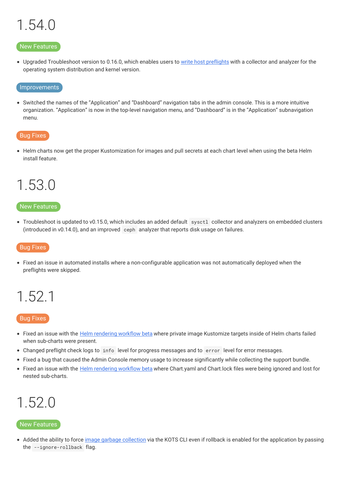# <span id="page-9-0"></span>1.54.0

#### New Features

• Upgraded Troubleshoot version to 0.16.0, which enables users to write host [preflights](https://kurl.sh/docs/install-with-kurl/preflights#adding-custom-host-preflights-beta) with a collector and analyzer for the operating system distribution and kernel version.

#### **Improvements**

Switched the names of the "Application" and "Dashboard" navigation tabs in the admin console. This is a more intuitive organization. "Application" is now in the top-level navigation menu, and "Dashboard" is in the "Application" subnavigation menu.

#### Bug Fixes

• Helm charts now get the proper Kustomization for images and pull secrets at each chart level when using the beta Helm install feature.

### <span id="page-9-1"></span>1.53.0

#### New Features

Troubleshoot is updated to v0.15.0, which includes an added default sysctl collector and analyzers on embedded clusters (introduced in v0.14.0), and an improved ceph analyzer that reports disk usage on failures.

#### Bug Fixes

Fixed an issue in automated installs where a non-configurable application was not automatically deployed when the preflights were skipped.

### <span id="page-9-2"></span>1.52.1

#### Bug Fixes

- Fixed an issue with the Helm [rendering](https://kots.io/release-notes/1.47.0/) workflow beta where private image Kustomize targets inside of Helm charts failed when sub-charts were present.
- Changed preflight check logs to info level for progress messages and to error level for error messages.
- Fixed a bug that caused the Admin Console memory usage to increase significantly while collecting the support bundle.
- Fixed an issue with the Helm [rendering](https://kots.io/release-notes/1.47.0/) workflow beta where Chart.yaml and Chart.lock files were being ignored and lost for nested sub-charts.

### <span id="page-9-3"></span>1.52.0

#### New Features

• Added the ability to force *image garbage [collection](https://kots.io/kots-cli/admin-console/garbage-collect-images/)* via the KOTS CLI even if rollback is enabled for the application by passing the --ignore-rollback flag.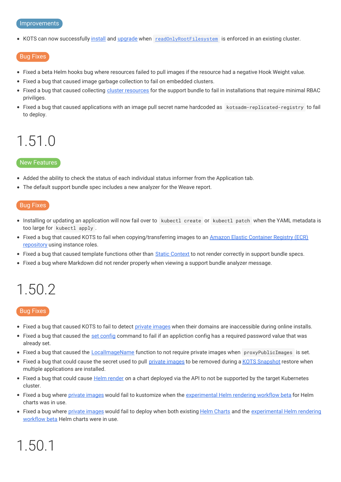#### Improvements

• KOTS can now successfully [install](https://kots.io/kots-cli/install/) and [upgrade](https://kots.io/kots-cli/admin-console/upgrade/) when [readOnlyRootFilesystem](https://kubernetes.io/docs/tasks/configure-pod-container/security-context/) is enforced in an existing cluster.

#### Bug Fixes

- Fixed a beta Helm hooks bug where resources failed to pull images if the resource had a negative Hook Weight value.
- Fixed a bug that caused image garbage collection to fail on embedded clusters.
- Fixed a bug that caused collecting cluster [resources](https://troubleshoot.sh/docs/collect/cluster-resources/) for the support bundle to fail in installations that require minimal RBAC priviliges.
- Fixed a bug that caused applications with an image pull secret name hardcoded as kotsadm-replicated-registry to fail to deploy.

### <span id="page-10-0"></span>1.51.0

#### New Features

- Added the ability to check the status of each individual status informer from the Application tab.
- The default support bundle spec includes a new analyzer for the Weave report.

#### Bug Fixes

- Installing or updating an application will now fail over to kubectl create or kubectl patch when the YAML metadata is too large for kubectl apply .
- Fixed a bug that caused KOTS to fail when [copying/transferring](https://kots.io/kotsadm/registries/self-hosted-registry/#docker-registry) images to an Amazon Elastic Container Registry (ECR) repository using instance roles.
- Fixed a bug that caused template functions other than Static [Context](https://kots.io/reference/template-functions/static-context/) to not render correctly in support bundle specs.
- Fixed a bug where Markdown did not render properly when viewing a support bundle analyzer message.

# <span id="page-10-1"></span>1.50.2

#### Bug Fixes

- Fixed a bug that caused KOTS to fail to detect private [images](https://kots.io/vendor/packaging/private-images/#replicated-private-registry) when their domains are inaccessible during online installs.
- Fixed a bug that caused the set [config](https://kots.io/kots-cli/set/config/) command to fail if an appliction config has a required password value that was already set.
- Fixed a bug that caused the [LocalImageName](https://kots.io/reference/template-functions/config-context/#localimagename) function to not require private images when proxyPublicImages is set.
- Fixed a bug that could cause the secret used to pull private [images](https://kots.io/vendor/packaging/private-images/) to be removed during a KOTS [Snapshot](https://kots.io/kotsadm/snapshots/overview/) restore when multiple applications are installed.
- Fixed a bug that could cause Helm [render](https://kots.io/vendor/helm/helm-processing/) on a chart deployed via the API to not be supported by the target Kubernetes cluster.
- Fixed a bug where private [images](https://kots.io/vendor/packaging/private-images/) would fail to kustomize when the [experimental](https://kots.io/release-notes/1.47.0/) Helm rendering workflow beta for Helm charts was in use.
- Fixed a bug where private [images](https://kots.io/vendor/packaging/private-images/) would fail to deploy when both existing Helm [Charts](https://kots.io/vendor/helm/using-replicated-helm-charts/) and the [experimental](https://kots.io/release-notes/1.47.0/) Helm rendering workflow beta Helm charts were in use.

# <span id="page-10-2"></span>1.50.1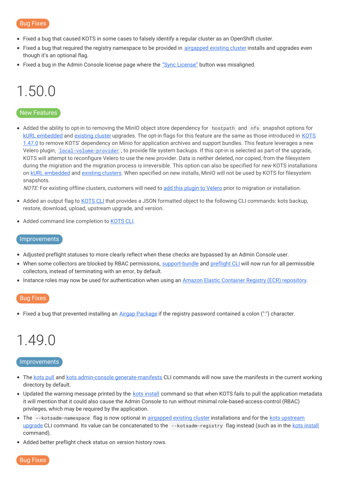- Fixed a bug that caused KOTS in some cases to falsely identify a regular cluster as an OpenShift cluster.
- Fixed a bug that required the registry namespace to be provided in [airgapped](https://kots.io/vendor/guides/airgapped-existing-cluster/) existing cluster installs and upgrades even though it's an optional flag.
- Fixed a bug in the Admin Console license page where the "Sync [License"](https://kots.io/kotsadm/updating/license-updates/#syncing-the-license) button was misaligned.

# <span id="page-11-0"></span>1.50.0

#### New Features

Added the ability to opt-in to removing the MinIO object store dependency for hostpath and nfs snapshot options for kURL [embedded](https://kurl.sh/docs/add-ons/kotsadm#advanced-install-options) and [existing](https://kots.io/kots-cli/admin-console/upgrade/) cluster upgrades. The opt-in flags for this feature are the same as those introduced in KOTS 1.47.0 to remove KOTS' [dependency](https://kots.io/release-notes/1.47.0/) on Minio for application archives and support bundles. This feature leverages a new Velero plugin, [local-volume-provider](https://github.com/replicatedhq/local-volume-provider) , to provide file system backups. If this opt-in is selected as part of the upgrade, KOTS will attempt to reconfigure Velero to use the new provider. Data is neither deleted, nor copied, from the filesystem during the migration and the migration process is irreversible. This option can also be specified for new KOTS installations on kURL [embedded](https://kurl.sh/docs/add-ons/kotsadm#advanced-install-options) and [existing](https://kots.io/kots-cli/install/) clusters. When specified on new installs, MinIO will not be used by KOTS for filesystem snapshots.

NOTE: For existing offline clusters, customers will need to add this plugin to [Velero](https://github.com/replicatedhq/local-volume-provider) prior to migration or installation.

- Added an output flag to [KOTS](https://kots.io/kots-cli/getting-started/) CLI that provides a JSON formatted object to the following CLI commands: kots backup, restore, download, upload, upstream upgrade, and version.
- Added command line completion to [KOTS](https://kots.io/kots-cli/getting-started/) CLI.

#### Improvements

- Adjusted preflight statuses to more clearly reflect when these checks are bypassed by an Admin Console user.
- When some collectors are blocked by RBAC permissions, [support-bundle](https://kots.io/kotsadm/troubleshooting/support-bundle/) and [preflight](https://troubleshoot.sh/docs/#example-preflight-check) CLI will now run for all permissible collectors, instead of terminating with an error, by default.
- Instance roles may now be used for authentication when using an Amazon Elastic Container Registry (ECR) [repository](https://kots.io/kotsadm/registries/self-hosted-registry/#docker-registry).

#### Bug Fixes

• Fixed a bug that prevented installing an Airgap [Package](https://kots.io/kotsadm/installing/airgap-packages/) if the registry password contained a colon (":") character.

### <span id="page-11-1"></span>1.49.0

#### Improvements

- The [kots](https://kots.io/kots-cli/pull/) pull and kots admin-console [generate-manifests](https://kots.io/kots-cli/admin-console/generate-manifests/) CLI commands will now save the manifests in the current working directory by default.
- Updated the warning message printed by the kots [install](https://kots.io/kots-cli/install/) command so that when KOTS fails to pull the application metadata it will mention that it could also cause the Admin Console to run without minimal role-based-access-control (RBAC) privileges, which may be required by the application.
- The [--kotsadm-namespace](https://kots.io/kots-cli/upstream/upgrade/) flag is now optional in [airgapped](https://kots.io/vendor/guides/airgapped-existing-cluster/) existing cluster installations and for the kots upstream upgrade CLI command. Its value can be concatenated to the --kotsadm-registry flag instead (such as in the kots [install](https://kots.io/kots-cli/install/) command).
- Added better preflight check status on version history rows.

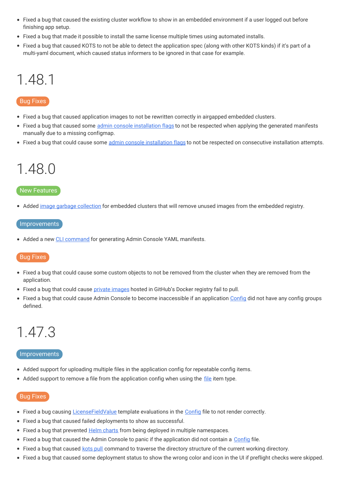- Fixed a bug that caused the existing cluster workflow to show in an embedded environment if a user logged out before finishing app setup.
- Fixed a bug that made it possible to install the same license multiple times using automated installs.
- Fixed a bug that caused KOTS to not be able to detect the application spec (along with other KOTS kinds) if it's part of a multi-yaml document, which caused status informers to be ignored in that case for example.

### <span id="page-12-0"></span>1.48.1

#### Bug Fixes

- Fixed a bug that caused application images to not be rewritten correctly in airgapped embedded clusters.
- Fixed a bug that caused some admin console [installation](https://kots.io/kots-cli/install/) flags to not be respected when applying the generated manifests manually due to a missing configmap.
- Fixed a bug that could cause some admin console [installation](https://kots.io/kots-cli/install/) flags to not be respected on consecutive installation attempts.

### <span id="page-12-1"></span>1.48.0

#### New Features

Added image garbage [collection](https://kots.io/kotsadm/registries/kurl-registry/#image-garbage-collection) for embedded clusters that will remove unused images from the embedded registry.

#### **Improvements**

• Added a new CLI [command](https://kots.io/kots-cli/admin-console/generate-manifests/) for generating Admin Console YAML manifests.

#### Bug Fixes

- Fixed a bug that could cause some custom objects to not be removed from the cluster when they are removed from the application.
- Fixed a bug that could cause private [images](https://kots.io/vendor/packaging/private-images/) hosted in GitHub's Docker registry fail to pull.  $\bullet$
- Fixed a bug that could cause Admin Console to become inaccessible if an application [Config](https://kots.io/reference/v1beta1/config/) did not have any config groups defined.

### <span id="page-12-2"></span>1.47.3

#### Improvements

- Added support for uploading multiple files in the application config for repeatable config items.
- Added support to remove a [file](https://kots.io/reference/v1beta1/config/#file) from the application config when using the file item type.

- Fixed a bug causing [LicenseFieldValue](https://kots.io/reference/template-functions/license-context/#licensefieldvalue) template evaluations in the [Config](https://kots.io/reference/v1beta1/config/) file to not render correctly.
- Fixed a bug that caused failed deployments to show as successful.
- Fixed a bug that prevented Helm [charts](https://kots.io/reference/v1beta1/helmchart/) from being deployed in multiple namespaces.
- Fixed a bug that caused the Admin Console to panic if the application did not contain a [Config](https://kots.io/vendor/config/config-screen/) file.
- Fixed a bug that caused [kots](https://kots.io/kots-cli/pull/) pull command to traverse the directory structure of the current working directory.
- Fixed a bug that caused some deployment status to show the wrong color and icon in the UI if preflight checks were skipped.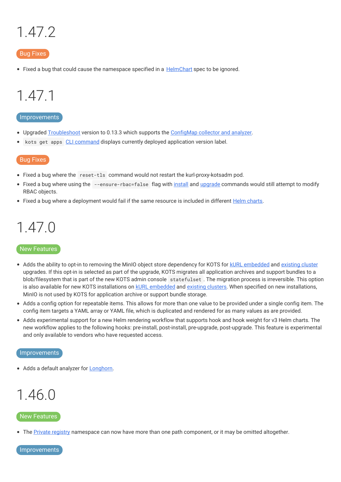# <span id="page-13-0"></span>1.47.2

#### Bug Fixes

• Fixed a bug that could cause the namespace specified in a [HelmChart](https://kots.io/reference/v1beta1/helmchart/#namespace) spec to be ignored.

### <span id="page-13-1"></span>1.47.1

#### Improvements

- Upgraded [Troubleshoot](https://troubleshoot.sh/) version to 0.13.3 which supports the [ConfigMap](https://troubleshoot.sh/docs/collect/configmap/) collector and analyzer.
- kots get apps CLI [command](https://kots.io/kots-cli/get/) displays currently deployed application version label.  $\bullet$

#### Bug Fixes

- Fixed a bug where the reset-tls command would not restart the kurl-proxy-kotsadm pod.
- Fixed a bug where using the --ensure-rbac=false flag with [install](https://kots.io/kots-cli/install/) and [upgrade](https://kots.io/kots-cli/admin-console/upgrade/) commands would still attempt to modify RBAC objects.
- Fixed a bug where a deployment would fail if the same resource is included in different Helm [charts](https://kots.io/vendor/helm/using-replicated-helm-charts/).

### <span id="page-13-2"></span>1.47.0

#### New Features

- Adds the ability to opt-in to removing the MinIO object store dependency for KOTS for kURL [embedded](https://kurl.sh/docs/add-ons/kotsadm#advanced-install-options) and [existing](https://kots.io/kotsadm/updating/updating-admin-console/#online-installations) cluster upgrades. If this opt-in is selected as part of the upgrade, KOTS migrates all application archives and support bundles to a blob/filesystem that is part of the new KOTS admin console statefulset . The migration process is irreversible. This option is also available for new KOTS installations on kURL [embedded](https://kurl.sh/docs/add-ons/kotsadm#advanced-install-options) and [existing](https://kots.io/kotsadm/installing/online-install/#kots-install) clusters. When specified on new installations, MinIO is not used by KOTS for application archive or support bundle storage.
- Adds a config option for repeatable items. This allows for more than one value to be provided under a single config item. The config item targets a YAML array or YAML file, which is duplicated and rendered for as many values as are provided.
- Adds experimental support for a new Helm rendering workflow that supports hook and hook weight for v3 Helm charts. The new workflow applies to the following hooks: pre-install, post-install, pre-upgrade, post-upgrade. This feature is experimental and only available to vendors who have requested access.

#### Improvements

• Adds a default analyzer for [Longhorn](https://longhorn.io).

### <span id="page-13-3"></span>1.46.0

#### New Features

• The Private [registry](https://kots.io/kotsadm/registries/self-hosted-registry/) namespace can now have more than one path component, or it may be omitted altogether.

Improvements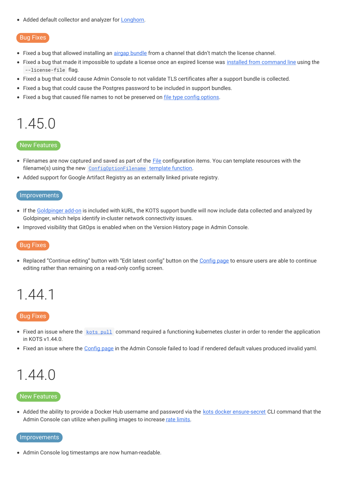• Added default collector and analyzer for **[Longhorn](https://longhorn.io)**.

#### Bug Fixes

- Fixed a bug that allowed installing an *airgap [bundle](https://kots.io/kotsadm/installing/airgap-packages/)* from a channel that didn't match the license channel.
- Fixed a bug that made it impossible to update a license once an expired license was installed from [command](https://kots.io/kots-cli/install/) line using the --license-file flag.
- Fixed a bug that could cause Admin Console to not validate TLS certificates after a support bundle is collected.
- Fixed a bug that could cause the Postgres password to be included in support bundles.
- Fixed a bug that caused file names to not be preserved on file type config [options](https://kots.io/reference/v1beta1/config/#file).

### <span id="page-14-0"></span>1.45.0

#### New Features

- [File](https://kots.io/reference/v1beta1/config/#file)names are now captured and saved as part of the File configuration items. You can template resources with the filename(s) using the new [ConfigOptionFilename](https://kots.io/reference/template-functions/config-context/#configoptionfilename) template function.
- Added support for Google Artifact Registry as an externally linked private registry.

#### Improvements

- If the [Goldpinger](https://kurl.sh/docs/add-ons/goldpinger) add-on is included with kURL, the KOTS support bundle will now include data collected and analyzed by Goldpinger, which helps identify in-cluster network connectivity issues.
- Improved visibility that GitOps is enabled when on the Version History page in Admin Console.

#### Bug Fixes

• Replaced "Continue editing" button with "Edit latest config" button on the [Config](https://kots.io/kotsadm/installing/online-install/#config-screen) page to ensure users are able to continue editing rather than remaining on a read-only config screen.

### <span id="page-14-1"></span>1.44.1

#### Bug Fixes

- Fixed an issue where the kots [pull](https://kots.io/kots-cli/pull/) command required a functioning kubernetes cluster in order to render the application in KOTS v1.44.0.
- Fixed an issue where the [Config](https://kots.io/kotsadm/installing/online-install/#config-screen) page in the Admin Console failed to load if rendered default values produced invalid yaml.

### <span id="page-14-2"></span>1.44.0

#### New Features

• Added the ability to provide a Docker Hub username and password via the kots docker [ensure-secret](https://kots.io/kots-cli/docker/ensure-permissions/) CLI command that the Admin Console can utilize when pulling images to increase rate [limits.](https://kots.io/kotsadm/registries/dockerhub-rate-limiting/)

#### Improvements

Admin Console log timestamps are now human-readable.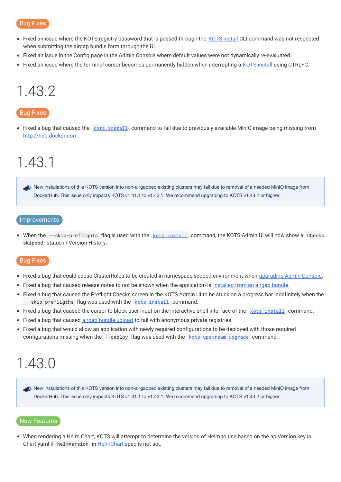- Fixed an issue where the KOTS registry password that is passed through the KOTS [install](https://kots.io/kots-cli/install/) CLI command was not respected when submitting the airgap bundle form through the UI.
- Fixed an issue in the Config page in the Admin Console where default values were not dynamically re-evaluated.
- Fixed an issue where the terminal cursor becomes permanently hidden when interrupting a KOTS [install](https://kots.io/kots-cli/install/) using CTRL+C.

### <span id="page-15-0"></span>1.43.2

#### Bug Fixes

• Fixed a bug that caused the kots [install](https://kots.io/kots-cli/install/) command to fail due to previously available MinIO image being missing from [http://hub.docker.com](https://hub.docker.com).

### <span id="page-15-1"></span>1.43.1

New installations of this KOTS version into non-airgapped existing clusters may fail due to removal of a needed MinIO image from DockerHub. This issue only impacts KOTS v1.41.1 to v1.43.1. We recommend upgrading to KOTS v1.43.2 or higher.

#### Improvements

• When the --skip-preflights flag is used with the kots [install](https://kots.io/kots-cli/install/) command, the KOTS Admin UI will now show a Checks skipped status in Version History.

#### Bug Fixes

- Fixed a bug that could cause ClusterRoles to be created in namespace scoped environment when [upgrading](https://kots.io/kots-cli/admin-console/upgrade/) Admin Console.
- Fixed a bug that caused release notes to not be shown when the application is [installed](https://kots.io/kotsadm/installing/airgap-packages/) from an airgap bundle.
- Fixed a bug that caused the Preflight Checks screen in the KOTS Admin UI to be stuck on a progress bar indefinitely when the --skip-prefligths flag was used with the kots [install](https://kots.io/kots-cli/install/) command.
- Fixed a bug that caused the cursor to block user input on the interactive shell interface of the kots [install](https://kots.io/kots-cli/install/) command.
- Fixed a bug that caused airgap bundle [upload](https://kots.io/kotsadm/installing/airgap-packages/#upload-airgap-bundle) to fail with anonymous private registries.
- Fixed a bug that would allow an application with newly required configurations to be deployed with those required configurations missing when the --deploy flag was used with the kots [upstream](https://kots.io/kots-cli/upstream/upgrade/) upgrade command.

### <span id="page-15-2"></span>1.43.0

New installations of this KOTS version into non-airgapped existing clusters may fail due to removal of a needed MinIO image from DockerHub. This issue only impacts KOTS v1.41.1 to v1.43.1. We recommend upgrading to KOTS v1.43.2 or higher.

#### New Features

When rendering a Helm Chart, KOTS will attempt to determine the version of Helm to use based on the apiVersion key in Chart.yaml if helmVersion in [HelmChart](https://kots.io/reference/v1beta1/helmchart/) spec is not set.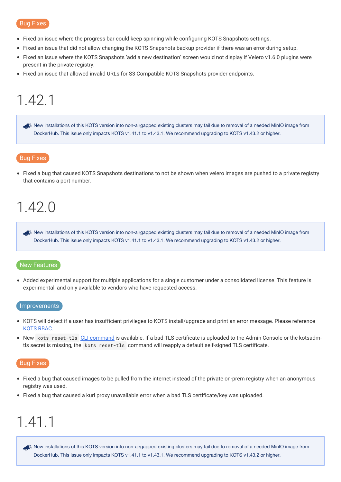- Fixed an issue where the progress bar could keep spinning while configuring KOTS Snapshots settings.
- Fixed an issue that did not allow changing the KOTS Snapshots backup provider if there was an error during setup.
- Fixed an issue where the KOTS Snapshots 'add a new destination' screen would not display if Velero v1.6.0 plugins were  $\bullet$ present in the private registry.
- Fixed an issue that allowed invalid URLs for S3 Compatible KOTS Snapshots provider endpoints.

### <span id="page-16-0"></span>1.42.1

New installations of this KOTS version into non-airgapped existing clusters may fail due to removal of a needed MinIO image from DockerHub. This issue only impacts KOTS v1.41.1 to v1.43.1. We recommend upgrading to KOTS v1.43.2 or higher.

#### Bug Fixes

Fixed a bug that caused KOTS Snapshots destinations to not be shown when velero images are pushed to a private registry that contains a port number.

### <span id="page-16-1"></span>1.42.0

New installations of this KOTS version into non-airgapped existing clusters may fail due to removal of a needed MinIO image from DockerHub. This issue only impacts KOTS v1.41.1 to v1.43.1. We recommend upgrading to KOTS v1.43.2 or higher.

#### New Features

Added experimental support for multiple applications for a single customer under a consolidated license. This feature is experimental, and only available to vendors who have requested access.

#### **Improvements**

- KOTS will detect if a user has insufficient privileges to KOTS install/upgrade and print an error message. Please reference [KOTS](https://kots.io/vendor/packaging/rbac/) RBAC.
- New kots reset-t1s CLI [command](https://kots.io/kots-cli/reset-tls) is available. If a bad TLS certificate is uploaded to the Admin Console or the kotsadmtls secret is missing, the kots reset-tls command will reapply a default self-signed TLS certificate.

#### Bug Fixes

- Fixed a bug that caused images to be pulled from the internet instead of the private on-prem registry when an anonymous registry was used.
- Fixed a bug that caused a kurl proxy unavailable error when a bad TLS certificate/key was uploaded.

### <span id="page-16-2"></span>1.41.1

New installations of this KOTS version into non-airgapped existing clusters may fail due to removal of a needed MinIO image from DockerHub. This issue only impacts KOTS v1.41.1 to v1.43.1. We recommend upgrading to KOTS v1.43.2 or higher.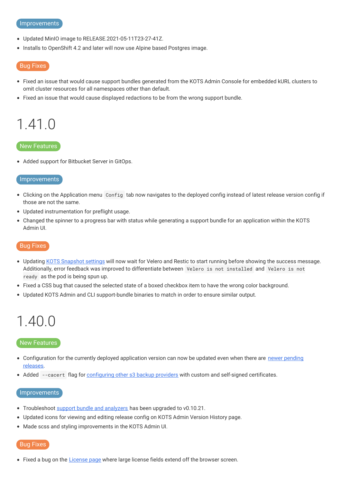#### Improvements

- Updated MinIO image to RELEASE.2021-05-11T23-27-41Z.
- Installs to OpenShift 4.2 and later will now use Alpine based Postgres image.

#### Bug Fixes

- Fixed an issue that would cause support bundles generated from the KOTS Admin Console for embedded kURL clusters to omit cluster resources for all namespaces other than default.
- Fixed an issue that would cause displayed redactions to be from the wrong support bundle.

### <span id="page-17-0"></span>1.41.0

#### New Features

Added support for Bitbucket Server in GitOps.

#### **Improvements**

- Clicking on the Application menu Config tab now navigates to the deployed config instead of latest release version config if those are not the same.
- Updated instrumentation for preflight usage.
- Changed the spinner to a progress bar with status while generating a support bundle for an application within the KOTS Admin UI.

#### Bug Fixes

- Updating KOTS [Snapshot](https://kots.io/kotsadm/snapshots/storage-destinations/) settings will now wait for Velero and Restic to start running before showing the success message. Additionally, error feedback was improved to differentiate between Velero is not installed and Velero is not ready as the pod is being spun up.
- Fixed a CSS bug that caused the selected state of a boxed checkbox item to have the wrong color background.
- Updated KOTS Admin and CLI support-bundle binaries to match in order to ensure similar output.

### <span id="page-17-1"></span>1.40.0

#### New Features

- [Configuration](https://kots.io/kotsadm/updating/updating-kots-apps/#updating) for the currently deployed application version can now be updated even when there are newer pending releases.
- Added --cacert flag for [configuring](https://kots.io/kots-cli/velero/configure-other-s3/) other s3 backup providers with custom and self-signed certificates.

#### Improvements

- Troubleshoot support bundle and [analyzers](https://kots.io/kotsadm/troubleshooting/support-bundle/) has been upgraded to v0.10.21.
- Updated icons for viewing and editing release config on KOTS Admin Version History page.
- Made scss and styling improvements in the KOTS Admin UI.

#### Bug Fixes

• Fixed a bug on the [License](https://kots.io/kotsadm/updating/license-updates/) page where large license fields extend off the browser screen.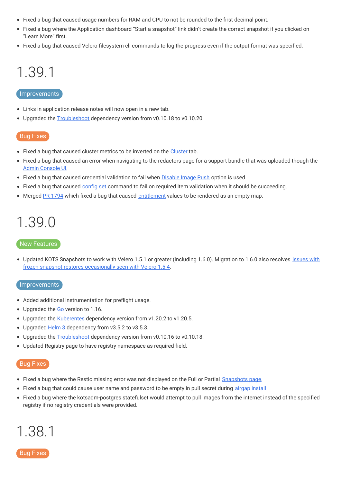- Fixed a bug that caused usage numbers for RAM and CPU to not be rounded to the first decimal point.
- Fixed a bug where the Application dashboard "Start a snapshot" link didn't create the correct snapshot if you clicked on "Learn More" first.
- Fixed a bug that caused Velero filesystem cli commands to log the progress even if the output format was specified.

## <span id="page-18-0"></span>1.39.1

#### Improvements

- Links in application release notes will now open in a new tab.
- Upgraded the [Troubleshoot](https://github.com/replicatedhq/troubleshoot/) dependency version from v0.10.18 to v0.10.20.

#### Bug Fixes

- Fixed a bug that caused cluster metrics to be inverted on the [Cluster](https://kots.io/vendor/guides/ha-guide/#adding-remaining-nodes-to-cluster) tab.
- Fixed a bug that caused an error when navigating to the redactors page for a support bundle that was uploaded though the Admin [Console](https://kots.io/kotsadm/troubleshooting/support-bundle/) UI.
- Fixed a bug that caused credential validation to fail when [Disable](https://kots.io/kotsadm/installing/airgap-packages/#upload-airgap-bundle) Image Push option is used.
- Fixed a bug that caused [config](https://kots.io/kots-cli/set/config/) set command to fail on required item validation when it should be succeeding.
- Merged PR [1794](https://github.com/replicatedhq/kots/pull/1794) which fixed a bug that caused [entitlement](https://kots.io/vendor/entitlements/creating-entitlements/) values to be rendered as an empty map.

### <span id="page-18-1"></span>1.39.0

#### New Features

• Updated KOTS Snapshots to work with Velero 1.5.1 or greater (including 1.6.0). Migration to 1.6.0 also resolves issues with frozen snapshot restores [occasionally](https://kots.io/kotsadm/snapshots/troubleshooting/#partial-snapshot-restore-is-stuck-in-progress) seen with Velero 1.5.4.

#### Improvements

- Added additional instrumentation for preflight usage.
- Upgraded the [Go](https://golang.org/doc/go1.16) version to 1.16.
- Upgraded the [Kuberentes](https://github.com/kubernetes/kubernetes/blob/master/CHANGELOG/CHANGELOG-1.20.md) dependency version from v1.20.2 to v1.20.5.
- Upgraded [Helm](https://github.com/helm/helm/releases/tag/v3.5.4) 3 dependency from v3.5.2 to v3.5.3.
- Upgraded the [Troubleshoot](https://github.com/replicatedhq/troubleshoot/) dependency version from v0.10.16 to v0.10.18.
- Updated Registry page to have registry namespace as required field.

#### Bug Fixes

- Fixed a bug where the Restic missing error was not displayed on the Full or Partial [Snapshots](https://kots.io/kotsadm/snapshots/overview/) page.
- Fixed a bug that could cause user name and password to be empty in pull secret during [airgap](https://kots.io/kotsadm/installing/airgap-packages/) install.
- Fixed a bug where the kotsadm-postgres statefulset would attempt to pull images from the internet instead of the specified registry if no registry credentials were provided.

# <span id="page-18-2"></span>1.38.1

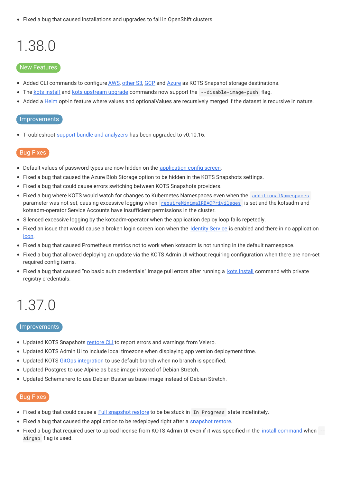Fixed a bug that caused installations and upgrades to fail in OpenShift clusters.

# <span id="page-19-0"></span>1.38.0

#### New Features

- Added CLI commands to configure [AWS](https://kots.io/kots-cli/velero/configure-aws-s3/), [other](https://kots.io/kots-cli/velero/configure-other-s3/) S3, [GCP](https://kots.io/kots-cli/velero/configure-gcp/) and [Azure](https://kots.io/kots-cli/velero/configure-azure/) as KOTS Snapshot storage destinations.
- The kots [install](https://kots.io/kots-cli/install/) and kots [upstream](https://kots.io/kots-cli/upstream/upgrade/) upgrade commands now support the --disable-image-push flag.
- Added a [Helm](https://kots.io/vendor/helm/optional-value-keys/) opt-in feature where values and optionalValues are recursively merged if the dataset is recursive in nature.

#### Improvements

• Troubleshoot support bundle and [analyzers](https://kots.io/kotsadm/troubleshooting/support-bundle/) has been upgraded to v0.10.16.

#### Bug Fixes

- **•** Default values of password types are now hidden on the [application](https://kots.io/kotsadm/installing/online-install/#config-screen) config screen.
- Fixed a bug that caused the Azure Blob Storage option to be hidden in the KOTS Snapshots settings.
- Fixed a bug that could cause errors switching between KOTS Snapshots providers.
- Fixed a bug where KOTS would watch for changes to Kubernetes Namespaces even when the [additionalNamespaces](https://kots.io/reference/v1beta1/application/#additionalnamespaces) parameter was not set, causing excessive logging when [requireMinimalRBACPrivileges](https://kots.io/reference/v1beta1/application/#requireminimalrbacprivileges) is set and the kotsadm and kotsadm-operator Service Accounts have insufficient permissions in the cluster.
- Silenced excessive logging by the kotsadm-operator when the application deploy loop fails repetedly.
- Fixed an issue that would cause a broken login screen icon when the [Identity](https://kots.io/vendor/identity-service/configuring-identity-service/) Service is enabled and there in no application [icon](https://kots.io/reference/v1beta1/application/#icon).
- Fixed a bug that caused Prometheus metrics not to work when kotsadm is not running in the default namespace.
- Fixed a bug that allowed deploying an update via the KOTS Admin UI without requiring configuration when there are non-set required config items.
- Fixed a bug that caused "no basic auth credentials" image pull errors after running a kots [install](https://kots.io/kots-cli/install/) command with private registry credentials.

### <span id="page-19-1"></span>1.37.0

#### **Improvements**

- Updated KOTS Snapshots [restore](https://kots.io/kots-cli/restore/) CLI to report errors and warnings from Velero.
- Updated KOTS Admin UI to include local timezone when displaying app version deployment time.
- Updated KOTS GitOps [integration](https://kots.io/kotsadm/gitops/single-app-workflows/) to use default branch when no branch is specified.
- Updated Postgres to use Alpine as base image instead of Debian Stretch.
- Updated Schemahero to use Debian Buster as base image instead of Debian Stretch.

- Fixed a bug that could cause a Full [snapshot](https://kots.io/kotsadm/snapshots/disaster-recovery/#airgapped-embedded-cluster-restore) restore to be be stuck in In Progress state indefinitely.
- Fixed a bug that caused the application to be redeployed right after a [snapshot](https://kots.io/kotsadm/snapshots/restore/) restore.
- Fixed a bug that required user to upload license from KOTS Admin UI even if it was specified in the install [command](https://kots.io/kots-cli/install/) when -airgap flag is used.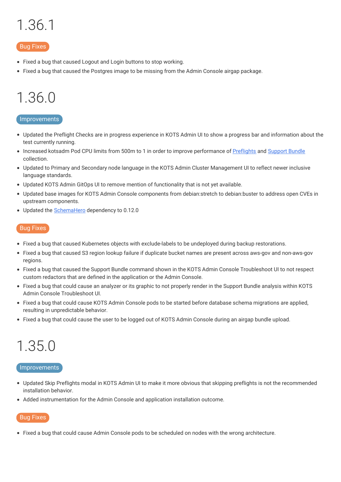# <span id="page-20-0"></span>1.36.1

#### Bug Fixes

- Fixed a bug that caused Logout and Login buttons to stop working.
- Fixed a bug that caused the Postgres image to be missing from the Admin Console airgap package.

# <span id="page-20-1"></span>1.36.0

#### Improvements

- Updated the Preflight Checks are in progress experience in KOTS Admin UI to show a progress bar and information about the test currently running.
- Increased kotsadm Pod CPU limits from 500m to 1 in order to improve performance of [Preflights](https://kots.io/reference/v1beta1/preflight/) and [Support](https://kots.io/reference/v1beta1/support-bundle/) Bundle collection.
- Updated to Primary and Secondary node language in the KOTS Admin Cluster Management UI to reflect newer inclusive language standards.
- Updated KOTS Admin GitOps UI to remove mention of functionality that is not yet available.
- Updated base images for KOTS Admin Console components from debian:stretch to debian:buster to address open CVEs in upstream components.
- Updated the [SchemaHero](https://schemahero.io/) dependency to 0.12.0

#### Bug Fixes

- Fixed a bug that caused Kubernetes objects with exclude-labels to be undeployed during backup restorations.
- Fixed a bug that caused S3 region lookup failure if duplicate bucket names are present across aws-gov and non-aws-gov regions.
- Fixed a bug that caused the Support Bundle command shown in the KOTS Admin Console Troubleshoot UI to not respect custom redactors that are defined in the application or the Admin Console.
- Fixed a bug that could cause an analyzer or its graphic to not properly render in the Support Bundle analysis within KOTS Admin Console Troubleshoot UI.
- Fixed a bug that could cause KOTS Admin Console pods to be started before database schema migrations are applied, resulting in unpredictable behavior.
- Fixed a bug that could cause the user to be logged out of KOTS Admin Console during an airgap bundle upload.

# <span id="page-20-2"></span>1.35.0

#### Improvements

- Updated Skip Preflights modal in KOTS Admin UI to make it more obvious that skipping preflights is not the recommended installation behavior.
- Added instrumentation for the Admin Console and application installation outcome.

#### Bug Fixes

Fixed a bug that could cause Admin Console pods to be scheduled on nodes with the wrong architecture.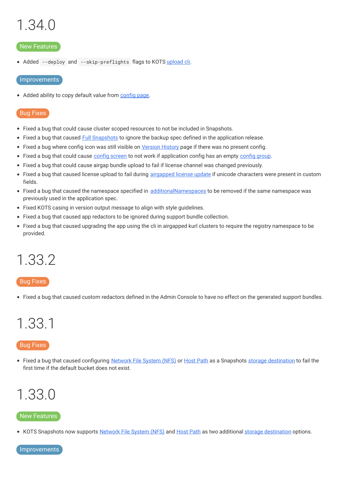# <span id="page-21-0"></span>1.34.0

#### New Features

• Added --deploy and --skip-preflights flags to KOTS [upload](https://kots.io/kots-cli/upload) cli.

#### Improvements

• Added ability to copy default value from [config](https://kots.io/kotsadm/installing/online-install/#config-screen) page.

#### Bug Fixes

- Fixed a bug that could cause cluster scoped resources to not be included in Snapshots.
- Fixed a bug that caused Full [Snapshots](https://kots.io/kotsadm/snapshots/overview/#full-snapshots-recommended) to ignore the backup spec defined in the application release.
- Fixed a bug where config icon was still visible on [Version](https://kots.io/kotsadm/updating/updating-kots-apps/#checking-for-updates) History page if there was no present config.
- Fixed a bug that could cause config [screen](https://kots.io/vendor/config/config-screen/) to not work if application [config](https://kots.io/reference/v1beta1/config/#groups) has an empty config group.
- Fixed a bug that could cause airgap bundle upload to fail if license channel was changed previously.
- Fixed a bug that caused license upload to fail during [airgapped](https://kots.io/kotsadm/updating/license-updates/#2-airgap-licenses) license update if unicode characters were present in custom fields.
- Fixed a bug that caused the namespace specified in [additionalNamespaces](https://kots.io/vendor/operators/additional-namespaces/) to be removed if the same namespace was previously used in the application spec.
- Fixed KOTS casing in version output message to align with style guidelines.
- Fixed a bug that caused app redactors to be ignored during support bundle collection.
- Fixed a bug that caused upgrading the app using the cli in airgapped kurl clusters to require the registry namespace to be provided.

### <span id="page-21-1"></span>1.33.2

#### Bug Fixes

Fixed a bug that caused custom redactors defined in the Admin Console to have no effect on the generated support bundles.

### <span id="page-21-2"></span>1.33.1

#### Bug Fixes

• Fixed a bug that caused configuring [Network](https://kots.io/kotsadm/snapshots/configuring-nfs/) File System (NFS) or [Host](https://kots.io/kotsadm/snapshots/configuring-hostpath/) Path as a Snapshots storage [destination](https://kots.io/kotsadm/snapshots/storage-destinations/) to fail the first time if the default bucket does not exist.

### <span id="page-21-3"></span>1.33.0

#### New Features

• KOTS Snapshots now supports [Network](https://kots.io/kotsadm/snapshots/configuring-nfs/) File System (NFS) and [Host](https://kots.io/kotsadm/snapshots/configuring-hostpath/) Path as two additional storage [destination](https://kots.io/kotsadm/snapshots/storage-destinations/) options.

Improvements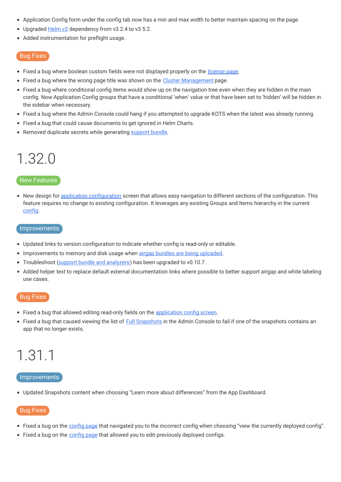- Application Config form under the config tab now has a min and max width to better maintain spacing on the page.
- Upgraded [Helm](https://kots.io/vendor/helm/using-replicated-helm-charts/) v3 dependency from v3.2.4 to v3.5.2.
- Added instrumentation for preflight usage.

- Fixed a bug where boolean custom fields were not displayed properly on the [license](https://kots.io/kotsadm/updating/license-updates/) page.
- Fixed a bug where the wrong page title was shown on the Cluster [Management](https://kots.io/vendor/guides/ha-guide/#adding-remaining-nodes-to-cluster) page.
- Fixed a bug where conditional config items would show up on the navigation tree even when they are hidden in the main config. Now Application Config groups that have a conditional 'when' value or that have been set to 'hidden' will be hidden in the sidebar when necessary.
- Fixed a bug where the Admin Console could hang if you attempted to upgrade KOTS when the latest was already running.
- Fixed a bug that could cause documents to get ignored in Helm Charts.
- Removed duplicate secrets while generating [support](https://kots.io/kotsadm/troubleshooting/support-bundle/) bundle.

### <span id="page-22-0"></span>1.32.0

#### New Features

• New design for application [configuration](https://kots.io/kotsadm/installing/online-install/#config-screen) screen that allows easy navigation to different sections of the configuration. This feature requires no change to existing configuration. It leverages any existing Groups and Items hierarchy in the current [config](https://kots.io/reference/v1beta1/config/).

#### **Improvements**

- Updated links to version configuration to indicate whether config is read-only or editable.
- **Improvements to memory and disk usage when airgap bundles are being [uploaded](https://kots.io/kotsadm/installing/airgap-packages/#upload-airgap-bundle).**
- Troubleshoot (support bundle and [analyzers](https://kots.io/kotsadm/troubleshooting/support-bundle/)) has been upgraded to v0.10.7.
- $\bullet$ Added helper text to replace default external documentation links where possible to better support airgap and white labeling use cases.

#### Bug Fixes

- Fixed a bug that allowed editing read-only fields on the [application](https://kots.io/kotsadm/installing/online-install/#config-screen) config screen.
- Fixed a bug that caused viewing the list of **Full [Snapshots](https://kots.io/kotsadm/snapshots/overview/#full-snapshots-recommended)** in the Admin Console to fail if one of the snapshots contains an app that no longer exists.

# <span id="page-22-1"></span>1.31.1

#### Improvements

Updated Snapshots content when choosing "Learn more about differences" from the App Dashboard.

- Fixed a bug on the [config](https://kots.io/kotsadm/installing/online-install/#config-screen) page that navigated you to the incorrect config when choosing "view the currently deployed config".
- Fixed a bug on the [config](https://kots.io/kotsadm/installing/online-install/#config-screen) page that allowed you to edit previously deployed configs.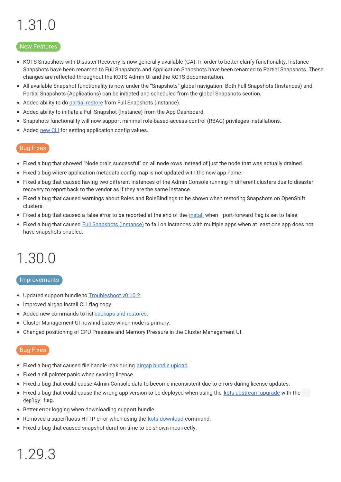# <span id="page-23-0"></span>1.31.0

#### New Features

- KOTS Snapshots with Disaster Recovery is now generally available (GA). In order to better clarify functionality, Instance Snapshots have been renamed to Full Snapshots and Application Snapshots have been renamed to Partial Snapshots. These changes are reflected throughout the KOTS Admin UI and the KOTS documentation.
- All available Snapshot functionality is now under the "Snapshots" global navigation. Both Full Snapshots (Instances) and Partial Snapshots (Applications) can be initiated and scheduled from the global Snapshots section.
- Added ability to do partial [restore](https://kots.io/kotsadm/snapshots/overview/#full-snapshots-recommended) from Full Snapshots (Instance).  $\bullet$
- Added ability to initiate a Full Snapshot (Instance) from the App Dashboard.  $\bullet$
- $\bullet$ Snapshots functionality will now support minimal role-based-access-control (RBAC) privileges installations.
- Added [new](https://kots.io/kots-cli/set/config/) CLI for setting application config values.

#### Bug Fixes

- Fixed a bug that showed "Node drain successful" on all node rows instead of just the node that was actually drained.
- Fixed a bug where application metadata config map is not updated with the new app name.
- Fixed a bug that caused having two different instances of the Admin Console running in different clusters due to disaster recovery to report back to the vendor as if they are the same instance.
- Fixed a bug that caused warnings about Roles and RoleBindings to be shown when restoring Snapshots on OpenShift clusters.
- Fixed a bug that caused a false error to be reported at the end of the [install](https://kots.io/kots-cli/install/) when -port-forward flag is set to false.
- Fixed a bug that caused Full [Snapshots](https://kots.io/kotsadm/snapshots/overview/#full-snapshots-recommended) (Instance) to fail on instances with multiple apps when at least one app does not have snapshots enabled.

### <span id="page-23-1"></span>1.30.0

#### **Improvements**

- Updated support bundle to [Troubleshoot](https://github.com/replicatedhq/troubleshoot/releases/tag/v0.10.2) v0.10.2.
- Improved airgap install CLI flag copy.
- Added new commands to list [backups](https://kots.io/kots-cli/get/) and restores.
- Cluster Management UI now indicates which node is primary.
- Changed positioning of CPU Pressure and Memory Pressure in the Cluster Management UI.

#### Bug Fixes

- Fixed a bug that caused file handle leak during airgap bundle [upload](https://kots.io/kotsadm/installing/airgap-packages/#upload-airgap-bundle).
- Fixed a nil pointer panic when syncing license.
- Fixed a bug that could cause Admin Console data to become inconsistent due to errors during license updates.
- Fixed a bug that could cause the wrong app version to be deployed when using the kots [upstream](https://kots.io/kots-cli/upstream/upgrade/) upgrade with the deploy flag.
- Better error logging when downloading support bundle.
- Removed a superfluous HTTP error when using the kots [download](https://kots.io/kots-cli/download/) command.
- Fixed a bug that caused snapshot duration time to be shown incorrectly.

# <span id="page-23-2"></span>1.29.3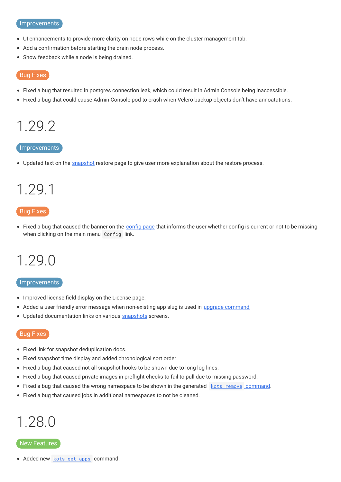#### Improvements

- UI enhancements to provide more clarity on node rows while on the cluster management tab.
- Add a confirmation before starting the drain node process.
- Show feedback while a node is being drained.  $\bullet$

#### Bug Fixes

- Fixed a bug that resulted in postgres connection leak, which could result in Admin Console being inaccessible.
- Fixed a bug that could cause Admin Console pod to crash when Velero backup objects don't have annoatations.

### <span id="page-24-0"></span>1.29.2

#### Improvements

• Updated text on the [snapshot](https://kots.io/kotsadm/snapshots/overview/#partial-snapshots) restore page to give user more explanation about the restore process.

# <span id="page-24-1"></span>1.29.1

#### Bug Fixes

• Fixed a bug that caused the banner on the [config](https://kots.io/kotsadm/installing/online-install/#config-screen) page that informs the user whether config is current or not to be missing when clicking on the main menu Config link.

### <span id="page-24-2"></span>1.29.0

#### Improvements

- Improved license field display on the License page.
- Added a user friendly error message when non-existing app slug is used in upgrade [command](https://kots.io/kots-cli/upstream/upgrade/#usage).
- Updated documentation links on various [snapshots](https://kots.io/vendor/snapshots/overview/) screens.

#### Bug Fixes

- Fixed link for snapshot deduplication docs.
- Fixed snapshot time display and added chronological sort order.
- Fixed a bug that caused not all snapshot hooks to be shown due to long log lines.  $\bullet$
- Fixed a bug that caused private images in preflight checks to fail to pull due to missing password.
- Fixed a bug that caused the wrong namespace to be shown in the generated kots remove [command](https://kots.io/kots-cli/remove/).
- Fixed a bug that caused jobs in additional namespaces to not be cleaned.

### <span id="page-24-3"></span>1.28.0

#### New Features

• Added new [kots](https://kots.io/kots-cli/get/) get apps command.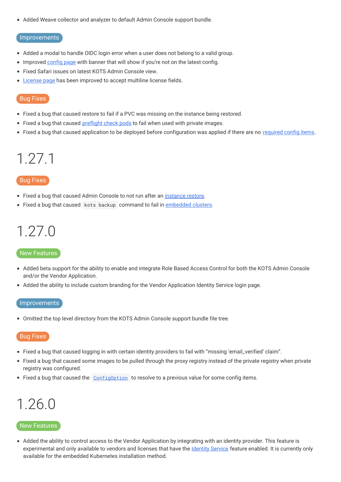Added Weave collector and analyzer to default Admin Console support bundle.

#### **Improvements**

- Added a modal to handle OIDC login error when a user does not belong to a valid group.
- Improved [config](https://kots.io/kotsadm/installing/online-install/#config-screen) page with banner that will show if you're not on the latest config.
- Fixed Safari issues on latest KOTS Admin Console view.
- [License](https://kots.io/kotsadm/updating/license-updates/) page has been improved to accept multiline license fields.

#### Bug Fixes

- Fixed a bug that caused restore to fail if a PVC was missing on the instance being restored.
- Fixed a bug that caused [preflight](https://troubleshoot.sh/docs/collect/run/) check pods to fail when used with private images.
- Fixed a bug that caused application to be deployed before configuration was applied if there are no [required](https://kots.io/reference/v1beta1/config/#required) config items.

### <span id="page-25-0"></span>1.27.1

#### Bug Fixes

- Fixed a bug that caused Admin Console to not run after an *[instance](https://kots.io/vendor/snapshots/disaster-recovery-snapshots/) restore*.
- Fixed a bug that caused kots backup command to fail in [embedded](https://kots.io/kotsadm/installing/installing-embedded-cluster/) clusters.

# <span id="page-25-1"></span>1.27.0

#### New Features

- Added beta support for the ability to enable and integrate Role Based Access Control for both the KOTS Admin Console and/or the Vendor Application.
- Added the ability to include custom branding for the Vendor Application Identity Service login page.

#### Improvements

Omitted the top level directory from the KOTS Admin Console support bundle file tree.

#### Bug Fixes

- Fixed a bug that caused logging in with certain identity providers to fail with "missing 'email\_verified' claim".
- Fixed a bug that caused some images to be pulled through the proxy registry instead of the private registry when private registry was configured.
- Fixed a bug that caused the [ConfigOption](https://kots.io/reference/template-functions/config-context/#configoption) to resolve to a previous value for some config items.

### <span id="page-25-2"></span>1.26.0

#### New Features

• Added the ability to control access to the Vendor Application by integrating with an identity provider. This feature is experimental and only available to vendors and licenses that have the **[Identity](https://kots.io/vendor/identity-service/configuring-identity-service/) Service** feature enabled. It is currently only available for the embedded Kubernetes installation method.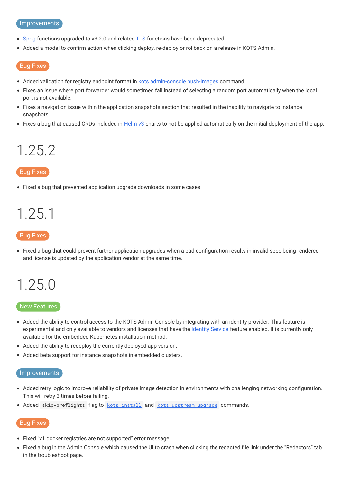#### Improvements

- [Sprig](https://masterminds.github.io/sprig/) functions upgraded to v3.2.0 and related [TLS](https://kots.io/reference/template-functions/static-context/#tlscert) functions have been deprecated.
- Added a modal to confirm action when clicking deploy, re-deploy or rollback on a release in KOTS Admin.

#### Bug Fixes

- Added validation for registry endpoint format in kots [admin-console](https://kots.io/kots-cli/admin-console/) push-images command.
- Fixes an issue where port forwarder would sometimes fail instead of selecting a random port automatically when the local port is not available.
- Fixes a navigation issue within the application snapshots section that resulted in the inability to navigate to instance snapshots.
- Fixes a bug that caused CRDs included in [Helm](https://kots.io/reference/v1beta1/helmchart/#helmversion) v3 charts to not be applied automatically on the initial deployment of the app.

### <span id="page-26-0"></span>1.25.2

#### Bug Fixes

Fixed a bug that prevented application upgrade downloads in some cases.

### <span id="page-26-1"></span>1.25.1

#### Bug Fixes

Fixed a bug that could prevent further application upgrades when a bad configuration results in invalid spec being rendered and license is updated by the application vendor at the same time.

### <span id="page-26-2"></span>1.25.0

#### New Features

- Added the ability to control access to the KOTS Admin Console by integrating with an identity provider. This feature is experimental and only available to vendors and licenses that have the [Identity](https://kots.io/kotsadm/access/securing-the-console/) Service feature enabled. It is currently only available for the embedded Kubernetes installation method.
- Added the ability to redeploy the currently deployed app version.
- Added beta support for instance snapshots in embedded clusters.

#### Improvements

- Added retry logic to improve reliability of private image detection in environments with challenging networking configuration. This will retry 3 times before failing.
- Added skip-preflights flag to kots [install](https://kots.io/kots-cli/install/) and kots [upstream](https://kots.io/kots-cli/upstream/upgrade/) upgrade commands.

- Fixed "v1 docker registries are not supported" error message.
- Fixed a bug in the Admin Console which caused the UI to crash when clicking the redacted file link under the "Redactors" tab in the troubleshoot page.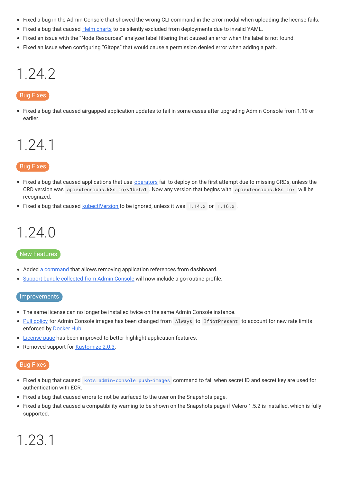- Fixed a bug in the Admin Console that showed the wrong CLI command in the error modal when uploading the license fails.
- Fixed a bug that caused Helm [charts](https://kots.io/reference/v1beta1/helmchart/) to be silently excluded from deployments due to invalid YAML.
- Fixed an issue with the "Node Resources" analyzer label filtering that caused an error when the label is not found.
- Fixed an issue when configuring "Gitops" that would cause a permission denied error when adding a path.

### <span id="page-27-0"></span>1.24.2

#### Bug Fixes

Fixed a bug that caused airgapped application updates to fail in some cases after upgrading Admin Console from 1.19 or earlier.

### <span id="page-27-1"></span>1.24.1

#### Bug Fixes

- Fixed a bug that caused applications that use **[operators](https://kots.io/vendor/operators/packaging-an-operator/)** fail to deploy on the first attempt due to missing CRDs, unless the CRD version was apiextensions.k8s.io/v1beta1 . Now any version that begins with apiextensions.k8s.io/ will be recognized.
- Fixed a bug that caused **[kubectlVersion](https://kots.io/reference/v1beta1/application/#kubectlversion)** to be ignored, unless it was  $1.14.x$  or  $1.16.x$ .

## <span id="page-27-2"></span>1.24.0

#### New Features

- Added a [command](https://kots.io/kots-cli/remove/) that allows removing application references from dashboard.
- **Support bundle [collected](https://kots.io/kotsadm/troubleshooting/support-bundle/) from Admin Console will now include a go-routine profile.**

#### Improvements

- The same license can no longer be installed twice on the same Admin Console instance.
- $\bullet$ Pull [policy](https://kubernetes.io/docs/concepts/configuration/overview/#container-images) for Admin Console images has been changed from Always to IfNotPresent to account for new rate limits enforced by [Docker](https://docs.docker.com/docker-hub/download-rate-limit/) Hub.
- [License](https://kots.io/kotsadm/updating/license-updates/) page has been improved to better highlight application features.
- Removed support for **[Kustomize](https://kots.io/reference/v1beta1/application/#kubectlversion) 2.0.3.**

#### Bug Fixes

<span id="page-27-3"></span>1.23.1

- Fixed a bug that caused kots [admin-console](https://kots.io/kotsadm/installing/airgap-packages/#kots-install) push-images command to fail when secret ID and secret key are used for authentication with ECR.
- Fixed a bug that caused errors to not be surfaced to the user on the Snapshots page.
- Fixed a bug that caused a compatibility warning to be shown on the Snapshots page if Velero 1.5.2 is installed, which is fully supported.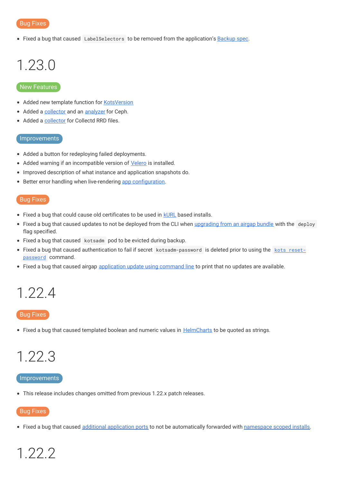• Fixed a bug that caused LabelSelectors to be removed from the application's [Backup](https://velero.netlify.app/docs/v1.5/api-types/backup/) spec.

# <span id="page-28-0"></span>1.23.0

#### New Features

- Added new template function for [KotsVersion](https://kots.io/reference/template-functions/static-context/#kotsversion)
- Added a [collector](https://troubleshoot.sh/docs/collect/ceph/) and an [analyzer](https://troubleshoot.sh/docs/analyze/ceph-status/) for Ceph.
- Added a [collector](https://troubleshoot.sh/docs/collect/collectd/) for Collectd RRD files.

#### Improvements

- Added a button for redeploying failed deployments.
- Added warning if an incompatible version of [Velero](https://kots.io/vendor/snapshots/overview/#velero-version-compatibility) is installed.
- Improved description of what instance and application snapshots do.
- Better error handling when live-rendering app [configuration](https://kots.io/vendor/config/config-screen/).

#### Bug Fixes

- Fixed a bug that could cause old certificates to be used in **[kURL](https://kots.io/vendor/packaging/using-tls-certs/)** based installs.
- Fixed a bug that caused updates to not be deployed from the CLI when [upgrading](https://kots.io/kotsadm/updating/updating-kots-apps/#airgapped-installs) from an airgap bundle with the deploy flag specified.
- Fixed a bug that caused kotsadm pod to be evicted during backup.
- Fixed a bug that caused authentication to fail if secret [kotsadm-password](https://kots.io/kots-cli/reset-password/) is deleted prior to using the kots resetpassword command.
- Fixed a bug that caused airgap [application](https://kots.io/kotsadm/updating/updating-kots-apps/#airgapped-installs) update using command line to print that no updates are available.

### <span id="page-28-1"></span>1.22.4

#### Bug Fixes

• Fixed a bug that caused templated boolean and numeric values in [HelmCharts](https://kots.io/reference/v1beta1/helmchart/) to be quoted as strings.

### <span id="page-28-2"></span>1.22.3

#### **Improvements**

This release includes changes omitted from previous 1.22.x patch releases.

#### Bug Fixes

• Fixed a bug that caused additional [application](https://kots.io/reference/v1beta1/application/#ports) ports to not be automatically forwarded with [namespace](https://kots.io/vendor/packaging/rbac/#namespace-scoped-access) scoped installs.

# <span id="page-28-3"></span>1.22.2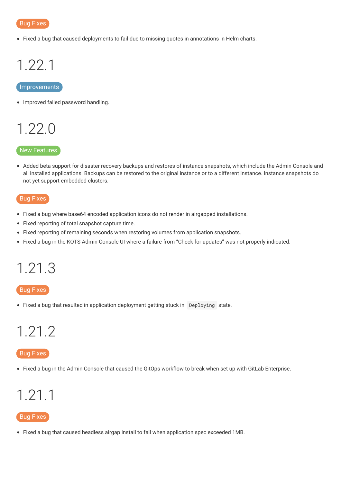

Fixed a bug that caused deployments to fail due to missing quotes in annotations in Helm charts.

# <span id="page-29-0"></span>1.22.1

#### **Improvements**

• Improved failed password handling.

### <span id="page-29-1"></span>1.22.0

#### New Features

Added beta support for disaster recovery backups and restores of instance snapshots, which include the Admin Console and all installed applications. Backups can be restored to the original instance or to a different instance. Instance snapshots do not yet support embedded clusters.

#### Bug Fixes

- Fixed a bug where base64 encoded application icons do not render in airgapped installations.
- Fixed reporting of total snapshot capture time.
- Fixed reporting of remaining seconds when restoring volumes from application snapshots.
- Fixed a bug in the KOTS Admin Console UI where a failure from "Check for updates" was not properly indicated.

# <span id="page-29-2"></span>1.21.3

#### Bug Fixes

• Fixed a bug that resulted in application deployment getting stuck in Deploying state.

# <span id="page-29-3"></span>1.21.2

#### Bug Fixes

Fixed a bug in the Admin Console that caused the GitOps workflow to break when set up with GitLab Enterprise.

### <span id="page-29-4"></span>1.21.1

#### Bug Fixes

Fixed a bug that caused headless airgap install to fail when application spec exceeded 1MB.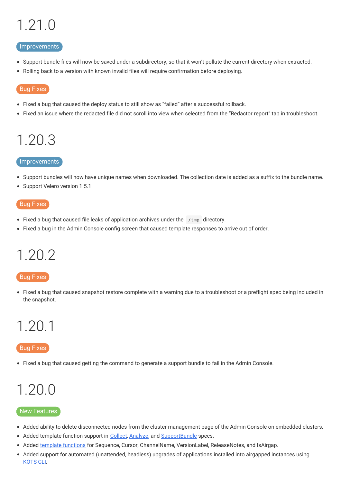# <span id="page-30-0"></span>1.21.0

#### Improvements

- Support bundle files will now be saved under a subdirectory, so that it won't pollute the current directory when extracted.
- Rolling back to a version with known invalid files will require confirmation before deploying.

#### Bug Fixes

- Fixed a bug that caused the deploy status to still show as "failed" after a successful rollback.
- Fixed an issue where the redacted file did not scroll into view when selected from the "Redactor report" tab in troubleshoot.

# <span id="page-30-1"></span>1.20.3

#### Improvements

- Support bundles will now have unique names when downloaded. The collection date is added as a suffix to the bundle name.
- Support Velero version 1.5.1.

#### Bug Fixes

- Fixed a bug that caused file leaks of application archives under the /tmp directory.
- Fixed a bug in the Admin Console config screen that caused template responses to arrive out of order.

### <span id="page-30-2"></span>1.20.2

#### Bug Fixes

Fixed a bug that caused snapshot restore complete with a warning due to a troubleshoot or a preflight spec being included in the snapshot.

### <span id="page-30-3"></span>1.20.1

#### Bug Fixes

Fixed a bug that caused getting the command to generate a support bundle to fail in the Admin Console.

# <span id="page-30-4"></span>1.20.0

#### New Features

- Added ability to delete disconnected nodes from the cluster management page of the Admin Console on embedded clusters.
- Added template function support in [Collect](https://troubleshoot.sh/docs/collect/), [Analyze](https://troubleshoot.sh/docs/analyze/), and [SupportBundle](https://troubleshoot.sh/docs/support-bundle/collecting/) specs.
- Added template [functions](https://kots.io/reference/template-functions/license-context/) for Sequence, Cursor, ChannelName, VersionLabel, ReleaseNotes, and IsAirgap.
- Added support for automated (unattended, headless) upgrades of applications installed into airgapped instances using [KOTS](https://kots.io/kots-cli/upstream/upgrade/) CLI.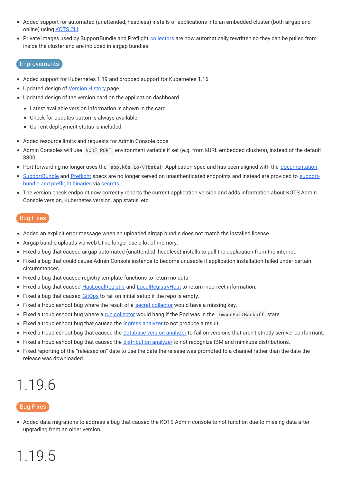- Added support for automated (unattended, headless) installs of applications into an embedded cluster (both airgap and online) using [KOTS](https://kots.io/kotsadm/installing/installing-embedded-cluster/) CLI.
- Private images used by SupportBundle and Preflight [collectors](https://troubleshoot.sh/docs/collect/collectors/) are now automatically rewritten so they can be pulled from inside the cluster and are included in airgap bundles.

#### Improvements

- Added support for Kubernetes 1.19 and dropped support for Kubernetes 1.16.
- Updated design of [Version](https://kots.io/kotsadm/updating/updating-kots-apps/#checking-for-updates) History page.
- Updated design of the version card on the application dashboard.
	- Latest available version information is shown in the card.
	- Check for updates button is always available.
	- Current deployment status is included.
- Added resource limits and requests for Admin Console pods.
- Admin Consoles will use NODE\_PORT environment variable if set (e.g. from kURL embedded clusters), instead of the default 8800.
- Port forwarding no longer uses the app.k8s.io/v1beta1 Application spec and has been aligned with the [documentation](https://kots.io/vendor/config/dashboard-buttons/#additional-ports-and-port-forwarding).
- [SupportBundle](https://troubleshoot.sh/docs/support-bundle/collecting/) and [Preflight](https://troubleshoot.sh/docs/preflight/introduction/) specs are no longer served on [unauthenticated](https://troubleshoot.sh/docs/#installation) endpoints and instead are provided to supportbundle and preflight binaries via [secrets](https://kots.io/kotsadm/troubleshooting/support-bundle/).
- The version check endpoint now correctly reports the current application version and adds information about KOTS Admin Console version, Kubernetes version, app status, etc.

#### Bug Fixes

- Added an explicit error message when an uploaded airgap bundle does not match the installed license.
- Airgap bundle uploads via web UI no longer use a lot of memory.
- Fixed a bug that caused airgap automated (unattended, headless) installs to pull the application from the internet.
- Fixed a bug that could cause Admin Console instance to become unusable if application installation failed under certain circumstances.
- Fixed a bug that caused registry template functions to return no data.
- Fixed a bug that caused [HasLocalRegistry](https://kots.io/reference/template-functions/config-context/#haslocalregistry) and [LocalRegistryHost](https://kots.io/reference/template-functions/config-context/#localregistryhost) to return incorrect information.
- Fixed a bug that caused [GitOps](https://kots.io/kotsadm/gitops/single-app-workflows/) to fail on initial setup if the repo is empty.
- Fixed a troubleshoot bug where the result of a secret [collector](https://troubleshoot.sh/docs/collect/secret/) would have a missing key.
- Fixed a troubleshoot bug where a run [collector](https://troubleshoot.sh/docs/collect/run/) would hang if the Pod was in the ImagePullBackoff state.
- Fixed a troubleshoot bug that caused the *ingress [analyzer](https://troubleshoot.sh/docs/analyze/ingress/)* to not produce a result.
- Fixed a troubleshoot bug that caused the [database](https://troubleshoot.sh/explore?tag=database) version analyzer to fail on versions that aren't strictly semver conformant.
- Fixed a troubleshoot bug that caused the [distribution](https://troubleshoot.sh/docs/analyze/distribution/) analyzer to not recognize IBM and minikube distributions.
- Fixed reporting of the "released on" date to use the date the release was promoted to a channel rather than the date the release was downloaded.

# <span id="page-31-0"></span>1.19.6

#### Bug Fixes

Added data migrations to address a bug that caused the KOTS Admin console to not function due to missing data after upgrading from an older version.

# <span id="page-31-1"></span>1.19.5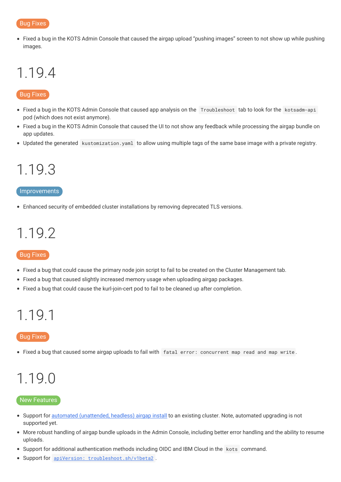Fixed a bug in the KOTS Admin Console that caused the airgap upload "pushing images" screen to not show up while pushing images.

## <span id="page-32-0"></span>1.19.4

#### Bug Fixes

- Fixed a bug in the KOTS Admin Console that caused app analysis on the Troubleshoot tab to look for the kotsadm-api pod (which does not exist anymore).
- Fixed a bug in the KOTS Admin Console that caused the UI to not show any feedback while processing the airgap bundle on app updates.
- Updated the generated kustomization.yaml to allow using multiple tags of the same base image with a private registry.

# <span id="page-32-1"></span>1.19.3

#### Improvements

Enhanced security of embedded cluster installations by removing deprecated TLS versions.

## <span id="page-32-2"></span>1.19.2

#### Bug Fixes

- Fixed a bug that could cause the primary node join script to fail to be created on the Cluster Management tab.
- Fixed a bug that caused slightly increased memory usage when uploading airgap packages.
- Fixed a bug that could cause the kurl-join-cert pod to fail to be cleaned up after completion.

### <span id="page-32-3"></span>1.19.1

#### Bug Fixes

• Fixed a bug that caused some airgap uploads to fail with fatal error: concurrent map read and map write.

# <span id="page-32-4"></span>1.19.0

#### New Features

- Support for **automated [\(unattended,](https://kots.io/kotsadm/installing/automating/#airgap-install) headless) airgap install** to an existing cluster. Note, automated upgrading is not supported yet.
- More robust handling of airgap bundle uploads in the Admin Console, including better error handling and the ability to resume uploads.
- Support for additional authentication methods including OIDC and IBM Cloud in the kots command.
- Support for apiVersion: [troubleshoot.sh/v1beta2](https://troubleshoot.sh/docs/v1beta2/) .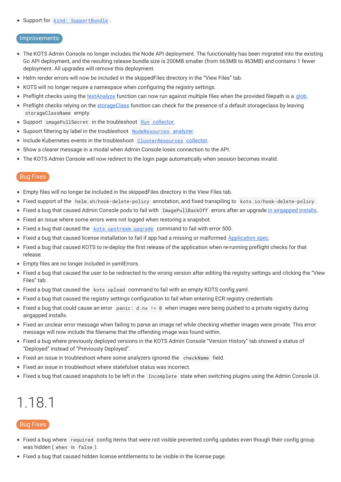#### • Support for kind: [SupportBundle](https://troubleshoot.sh/docs/support-bundle/introduction/).

#### Improvements

- The KOTS Admin Console no longer includes the Node API deployment. The functionality has been migrated into the existing Go API deployment, and the resulting release bundle size is 200MB smaller (from 663MB to 463MB) and contains 1 fewer deployment. All upgrades will remove this deployment.
- Helm render errors will now be included in the skippedFiles directory in the "View Files" tab.
- KOTS will no longer require a namespace when configuring the registry settings.
- Preflight checks using the [textAnalyze](https://troubleshoot.sh/docs/analyze/regex/) function can now run against multiple files when the provided filepath is a [glob](https://golang.org/pkg/path/filepath/#Glob).
- Preflight checks relying on the [storageClass](https://troubleshoot.sh/docs/analyze/storage-class/) function can check for the presence of a default storageclass by leaving storageClassName empty.
- Support imagePullSecret in the troubleshoot Run [collector](https://troubleshoot.sh/docs/collect/run/#using-opaque-secrets).
- Supoort filtering by label in the troubleshoot [NodeResources](https://troubleshoot.sh/docs/analyze/node-resources/#filter-by-labels) analyzer.
- Include Kubernetes events in the troubleshoot [ClusterResources](https://troubleshoot.sh/docs/collect/cluster-resources/#cluster-resourceseventsnamespacejson) collector.
- Show a clearer message in a modal when Admin Console loses connection to the API.
- The KOTS Admin Console will now redirect to the login page automatically when session becomes invalid.

#### **Bug Fixes**

- Empty files will no longer be included in the skippedFiles directory in the View Files tab.
- Fixed support of the helm.sh/hook-delete-policy annotation, and fixed transpiling to kots.io/hook-delete-policy .
- Fixed a bug that caused Admin Console pods to fail with ImagePullBackOff errors after an upgrade in [airgapped](https://kots.io/kotsadm/updating/updating-admin-console/#airgap-installations) installs.
- Fixed an issue where some errors were not logged when restoring a snapshot.
- Fixed a bug that caused the kots [upstream](https://kots.io/kots-cli/upstream/upgrade/) upgrade command to fail with error 500.
- Fixed a bug that caused license installation to fail if app had a missing or malformed [Application](https://kots.io/reference/v1beta1/application/) spec.
- Fixed a bug that caused KOTS to re-deploy the first release of the application when re-running preflight checks for that release.
- Empty files are no longer included in yamlErrors.
- Fixed a bug that caused the user to be redirected to the wrong version after editing the registry settings and clicking the "View Files" tab.
- Fixed a bug that caused the kots upload command to fail with an empty KOTS config.yaml.
- Fixed a bug that caused the registry settings configuration to fail when entering ECR registry credentials.
- Fixed a bug that could cause an error panic: d.nx != 0 when images were being pushed to a private registry during airgapped installs.
- Fixed an unclear error message when failing to parse an image ref while checking whether images were private. This error message will now include the filename that the offending image was found within.
- Fixed a bug where previously deployed versions in the KOTS Admin Console "Version History" tab showed a status of "Deployed" instead of "Previously Deployed".
- Fixed an issue in troubleshoot where some analyzers ignored the checkName field.
- Fixed an issue in troubleshoot where statefulset status was incorrect.
- Fixed a bug that caused snapshots to be left in the Incomplete state when switching plugins using the Admin Console UI.

## <span id="page-33-0"></span>1.18.1

- Fixed a bug where required config items that were not visible prevented config updates even though their config group was hidden ( when is false ).
- Fixed a bug that caused hidden license entitlements to be visible in the license page.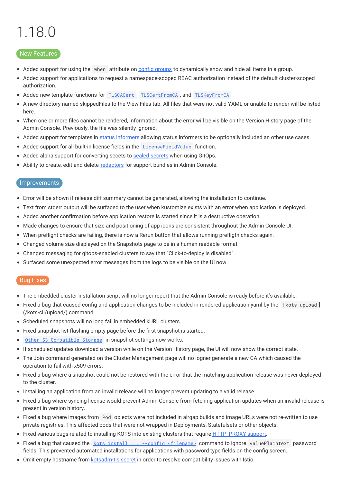# <span id="page-34-0"></span>1.18.0

#### New Features

- Added support for using the when attribute on config [groups](https://kots.io/reference/v1beta1/config/#groups) to dynamically show and hide all items in a group.
- Added support for applications to request a namespace-scoped RBAC authorization instead of the default cluster-scoped authorization.
- Added new template functions for **[TLSCACert](https://kots.io/reference/template-functions/static-context/#tlscacert)**, **[TLSCertFromCA](https://kots.io/reference/template-functions/static-context/#tlscertfromca)**, and **[TLSKeyFromCA](https://kots.io/reference/template-functions/static-context/#tlskeyfromca)**
- A new directory named skippedFiles to the View Files tab. All files that were not valid YAML or unable to render will be listed  $\bullet$ here.
- When one or more files cannot be rendered, information about the error will be visible on the Version History page of the Admin Console. Previously, the file was silently ignored.
- Added support for templates in status [informers](https://kots.io/vendor/config/application-status/#kots-application-spec) allowing status informers to be optionally included an other use cases.
- Added support for all built-in license fields in the **[LicenseFieldValue](https://kots.io/vendor/entitlements/built-in-entitlements/#list-of-built-in-fields)** function.
- Added alpha support for converting secets to sealed [secrets](https://kots.io/kotsadm/gitops/secrets/) when using GitOps.
- Ability to create, edit and delete [redactors](https://troubleshoot.sh/docs/redact/redactors/) for support bundles in Admin Console.

#### Improvements

- Error will be shown if release diff summary cannot be generated, allowing the installation to continue.
- Text from stderr output will be surfaced to the user when kustomize exists with an error when application is deployed.
- Added another confirmation before application restore is started since it is a destructive operation.
- Made changes to ensure that size and positioning of app icons are consistent throughout the Admin Console UI.
- When preflight checks are failing, there is now a Rerun button that allows running prefligth checks again.
- Changed volume size displayed on the Snapshots page to be in a human readable format.
- Changed messaging for gitops-enabled clusters to say that "Click-to-deploy is disabled".
- Surfaced some unexpected error messages from the logs to be visible on the UI now.

- The embedded cluster installation script will no longer report that the Admin Console is ready before it's available.
- Fixed a bug that caused config and application changes to be included in rendered application yaml by the [kots upload] (/kots-cli/upload/) command.
- Scheduled snapshots will no long fail in embedded kURL clusters.
- Fixed snapshot list flashing empty page before the first snapshot is started.
- Other [S3-Compatible](https://kots.io/kotsadm/snapshots/storage-destinations/#s3-compatible) Storage in snapshot settings now works.  $\bullet$
- If scheduled updates download a version while on the Version History page, the UI will now show the correct state.
- The Join command generated on the Cluster Management page will no logner generate a new CA which caused the operation to fail with x509 errors.
- Fixed a bug where a snapshot could not be restored with the error that the matching application release was never deployed to the cluster.
- Installing an application from an invalid release will no longer prevent updating to a valid release.
- Fixed a bug where syncing license would prevent Admin Console from fetching application updates when an invalid release is present in version history.
- Fixed a bug where images from Pod objects were not included in airgap builds and image URLs were not re-written to use private registries. This affected pods that were not wrapped in Deployments, Statefulsets or other objects.
- Fixed various bugs related to installing KOTS into existing clusters that require [HTTP\\_PROXY](https://kots.io/kotsadm/installing/online-install#proxies) support.
- Fixed a bug that caused the kots install ... --config [<filename>](https://kots.io/kots-cli/install/) command to ignore valuePlaintext password fields. This prevented automated installations for applications with password type fields on the config screen.
- **•** Omit empty hostname from [kotsadm-tls](https://kots.io/vendor/packaging/using-tls-certs/#verify-tls-secret) secret in order to resolve compatibility issues with Istio.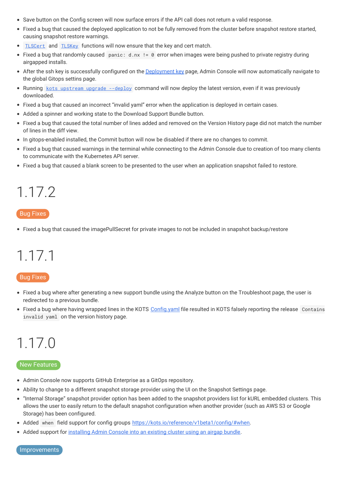- Save button on the Config screen will now surface errors if the API call does not return a valid response.
- Fixed a bug that caused the deployed application to not be fully removed from the cluster before snapshot restore started, causing snapshot restore warnings.
- [TLSCert](https://kots.io/reference/template-functions/static-context/#tlscert) and [TLSKey](https://kots.io/reference/template-functions/static-context/#tlskey) functions will now ensure that the key and cert match.  $\bullet$
- Fixed a bug that randomly caused panic:  $d.nx := 0$  error when images were being pushed to private registry during airgapped installs.
- After the ssh key is successfully configured on the [Deployment](https://kots.io/kotsadm/gitops/single-app-workflows/) key page, Admin Console will now automatically navigate to the global Gitops settins page.
- Running kots [upstream](https://kots.io/kots-cli/upstream/upgrade/) upgrade --deploy command will now deploy the latest version, even if it was previously downloaded.
- Fixed a bug that caused an incorrect "invalid yaml" error when the application is deployed in certain cases.
- Added a spinner and working state to the Download Support Bundle button.
- Fixed a bug that caused the total number of lines added and removed on the Version History page did not match the number of lines in the diff view.
- In gitops-enabled installed, the Commit button will now be disabled if there are no changes to commit.
- Fixed a bug that caused warnings in the terminal while connecting to the Admin Console due to creation of too many clients to communicate with the Kubernetes API server.
- Fixed a bug that caused a blank screen to be presented to the user when an application snapshot failed to restore.

# <span id="page-35-0"></span>1.17.2

#### Bug Fixes

Fixed a bug that caused the imagePullSecret for private images to not be included in snapshot backup/restore

# <span id="page-35-1"></span>1.17.1

#### Bug Fixes

- Fixed a bug where after generating a new support bundle using the Analyze button on the Troubleshoot page, the user is redirected to a previous bundle.
- Fixed a bug where having wrapped lines in the KOTS [Config.yaml](https://kots.io/reference/v1beta1/config/) file resulted in KOTS falsely reporting the release Contains invalid yaml on the version history page.

# <span id="page-35-2"></span>1.17.0

#### New Features

- Admin Console now supports GitHub Enterprise as a GitOps repository.
- Ability to change to a different snapshot storage provider using the UI on the Snapshot Settings page.
- "Internal Storage" snapshot provider option has been added to the snapshot providers list for kURL embedded clusters. This allows the user to easily return to the default snapshot configuration when another provider (such as AWS S3 or Google Storage) has been configured.
- Added when field support for config groups <https://kots.io/reference/v1beta1/config/#when>.
- Added support for [installing](https://kots.io/kotsadm/installing/airgap-packages/) Admin Console into an existing cluster using an airgap bundle.

Improvements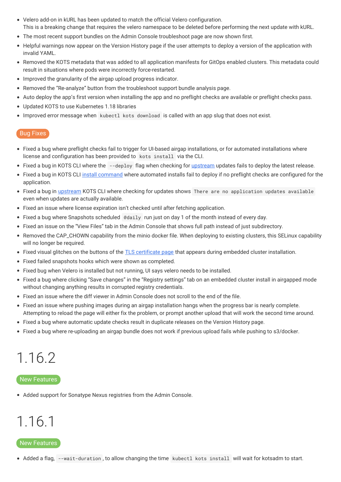- Velero add-on in kURL has been updated to match the official Velero configuration. This is a breaking change that requires the velero namespace to be deleted before performing the next update with kURL.
- The most recent support bundles on the Admin Console troubleshoot page are now shown first.
- Helpful warnings now appear on the Version History page if the user attempts to deploy a version of the application with  $\bullet$ invalid YAML.
- Removed the KOTS metadata that was added to all application manifests for GitOps enabled clusters. This metadata could result in situations where pods were incorrectly force-restarted.
- Improved the granularity of the airgap upload progress indicator.
- Removed the "Re-analyze" button from the troubleshoot support bundle analysis page.
- Auto deploy the app's first version when installing the app and no preflight checks are available or preflight checks pass.
- Updated KOTS to use Kubernetes 1.18 libraries
- Improved error message when kubectl kots download is called with an app slug that does not exist.

- Fixed a bug where preflight checks fail to trigger for UI-based airgap installations, or for automated installations where license and configuration has been provided to kots install via the CLI.
- Fixed a bug in KOTS CLI where the --deploy flag when checking for *[upstream](https://kots.io/kots-cli/upstream/upgrade/)* updates fails to deploy the latest release.
- Fixed a bug in KOTS CLI install [command](https://kots.io/kots-cli/install/) where automated installs fail to deploy if no preflight checks are configured for the application.
- Fixed a bug in [upstream](https://kots.io/kots-cli/upstream/upgrade/) KOTS CLI where checking for updates shows There are no application updates available even when updates are actually available.
- Fixed an issue where license expiration isn't checked until after fetching application.
- Fixed a bug where Snapshots scheduled @daily run just on day 1 of the month instead of every day.
- Fixed an issue on the "View Files" tab in the Admin Console that shows full path instead of just subdirectory.
- Removed the CAP\_CHOWN capability from the minio docker file. When deploying to existing clusters, this SELinux capability will no longer be required.
- Fixed visual glitches on the buttons of the TLS [certificate](https://kurl.sh/docs/install-with-kurl/setup-tls-certs) page that appears during embedded cluster installation.
- Fixed failed snapshots hooks which were shown as completed.
- Fixed bug when Velero is installed but not running, UI says velero needs to be installed.
- Fixed a bug where clicking "Save changes" in the "Registry settings" tab on an embedded cluster install in airgapped mode without changing anything results in corrupted registry credentials.
- Fixed an issue where the diff viewer in Admin Console does not scroll to the end of the file.
- Fixed an issue where pushing images during an airgap installation hangs when the progress bar is nearly complete. Attempting to reload the page will either fix the problem, or prompt another upload that will work the second time around.
- Fixed a bug where automatic update checks result in duplicate releases on the Version History page.
- Fixed a bug where re-uploading an airgap bundle does not work if previous upload fails while pushing to s3/docker.

# <span id="page-36-0"></span>1.16.2

#### New Features

Added support for Sonatype Nexus registries from the Admin Console.

# <span id="page-36-1"></span>1.16.1

#### New Features

Added a flag, --wait-duration , to allow changing the time kubectl kots install will wait for kotsadm to start.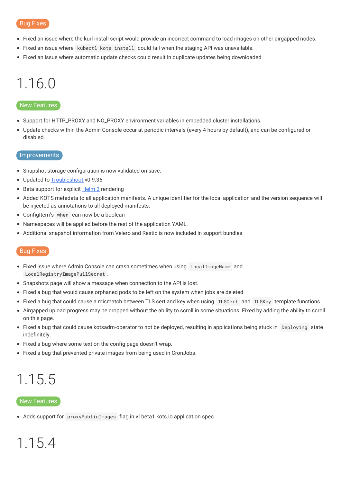- Fixed an issue where the kurl install script would provide an incorrect command to load images on other airgapped nodes.
- Fixed an issue where kubectl kots install could fail when the staging API was unavailable.
- Fixed an issue where automatic update checks could result in duplicate updates being downloaded.

# <span id="page-37-0"></span>1.16.0

#### **New Features**

- Support for HTTP\_PROXY and NO\_PROXY environment variables in embedded cluster installations.
- Update checks within the Admin Console occur at periodic intervals (every 4 hours by default), and can be configured or disabled.

#### Improvements

- Snapshot storage configuration is now validated on save.
- Updated to [Troubleshoot](https://troubleshoot.sh) v0.9.36
- Beta support for explicit [Helm](https://kots.io/reference/v1beta1/helmchart/) 3 rendering
- Added KOTS metadata to all application manifests. A unique identifier for the local application and the version sequence will be injected as annotations to all deployed manifests.
- ConfigItem's when can now be a boolean
- Namespaces will be applied before the rest of the application YAML.
- Additional snapshot information from Velero and Restic is now included in support bundles

#### Bug Fixes

- Fixed issue where Admin Console can crash sometimes when using LocalImageName and LocalRegistryImagePullSecret .
- Snapshots page will show a message when connection to the API is lost.
- Fixed a bug that would cause orphaned pods to be left on the system when jobs are deleted.
- Fixed a bug that could cause a mismatch between TLS cert and key when using TLSCert and TLSKey template functions
- Airgapped upload progress may be cropped without the ability to scroll in some situations. Fixed by adding the ability to scroll on this page.
- Fixed a bug that could cause kotsadm-operator to not be deployed, resulting in applications being stuck in Deploying state indefinitely.
- Fixed a bug where some text on the config page doesn't wrap.
- Fixed a bug that prevented private images from being used in CronJobs.

# <span id="page-37-1"></span>1.15.5

#### New Features

Adds support for proxyPublicImages flag in v1beta1 kots.io application spec.

# <span id="page-37-2"></span>1.15.4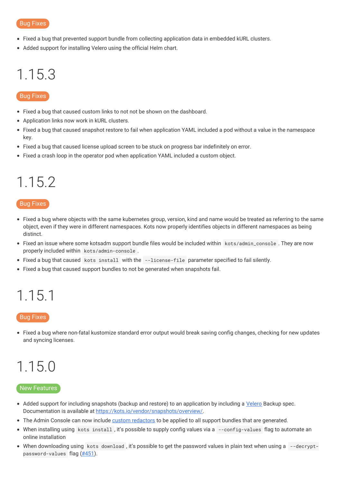- Fixed a bug that prevented support bundle from collecting application data in embedded kURL clusters.
- Added support for installing Velero using the official Helm chart.

### <span id="page-38-0"></span>1.15.3

#### Bug Fixes

- Fixed a bug that caused custom links to not not be shown on the dashboard.
- Application links now work in kURL clusters.
- Fixed a bug that caused snapshot restore to fail when application YAML included a pod without a value in the namespace  $\bullet$ key.
- Fixed a bug that caused license upload screen to be stuck on progress bar indefinitely on error.
- Fixed a crash loop in the operator pod when application YAML included a custom object.

# <span id="page-38-1"></span>1.15.2

#### Bug Fixes

- Fixed a bug where objects with the same kubernetes group, version, kind and name would be treated as referring to the same object, even if they were in different namespaces. Kots now properly identifies objects in different namespaces as being distinct.
- Fixed an issue where some kotsadm support bundle files would be included within kots/admin\_console . They are now properly included within kots/admin-console .
- Fixed a bug that caused kots install with the --license-file parameter specified to fail silently.
- Fixed a bug that caused support bundles to not be generated when snapshots fail.

### <span id="page-38-2"></span>1.15.1

#### Bug Fixes

Fixed a bug where non-fatal kustomize standard error output would break saving config changes, checking for new updates and syncing licenses.

### <span id="page-38-3"></span>1.15.0

#### New Features

- Added support for including snapshots (backup and restore) to an application by including a [Velero](https://velero.netlify.app) Backup spec. Documentation is available at <https://kots.io/vendor/snapshots/overview/>.
- The Admin Console can now include custom [redactors](https://troubleshoot.sh/reference/redactors/overview/) to be applied to all support bundles that are generated.
- When installing using kots install , it's possible to supply config values via a --config-values flag to automate an online installation
- When downloading using kots download , it's possible to get the password values in plain text when using a --decrypt-password-values flag [\(#451](https://github.com/replicatedhq/kots/issues/451)).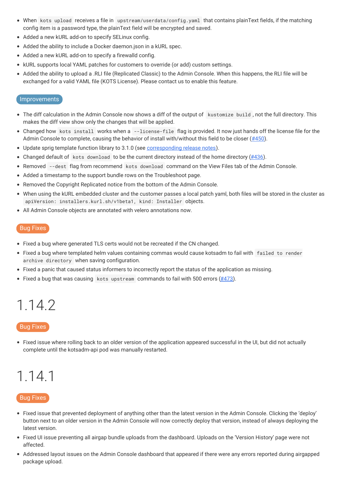- When kots upload receives a file in upstream/userdata/config.yaml that contains plainText fields, if the matching config item is a password type, the plainText field will be encrypted and saved.
- Added a new kURL add-on to specify SELinux config.
- Added the ability to include a Docker daemon.json in a kURL spec.
- Added a new kURL add-on to specify a firewalld config.
- kURL supports local YAML patches for customers to override (or add) custom settings.
- Added the ability to upload a .RLI file (Replicated Classic) to the Admin Console. When this happens, the RLI file will be exchanged for a valid YAML file (KOTS License). Please contact us to enable this feature.

#### Improvements

- The diff calculation in the Admin Console now shows a diff of the output of kustomize build , not the full directory. This makes the diff view show only the changes that will be applied.
- Changed how kots install works when a --license-file flag is provided. It now just hands off the license file for the Admin Console to complete, causing the behavior of install with/without this field to be closer ([#450](https://github.com/replicatedhq/kots/issues/450)).
- Update sprig template function library to 3.1.0 (see [corresponding](https://github.com/Masterminds/sprig/blob/master/CHANGELOG.md) release notes).
- Changed default of kots download to be the current directory instead of the home directory  $(\#436)$ .
- Removed --dest flag from recommend kots download command on the View Files tab of the Admin Console.
- Added a timestamp to the support bundle rows on the Troubleshoot page.
- Removed the Copyright Replicated notice from the bottom of the Admin Console.
- When using the kURL embedded cluster and the customer passes a local patch yaml, both files will be stored in the cluster as apiVersion: installers.kurl.sh/v1beta1, kind: Installer objects.
- All Admin Console objects are annotated with velero annotations now.

#### Bug Fixes

- Fixed a bug where generated TLS certs would not be recreated if the CN changed.
- Fixed a bug where templated helm values containing commas would cause kotsadm to fail with failed to render archive directory when saving configuration.
- Fixed a panic that caused status informers to incorrectly report the status of the application as missing.
- Fixed a bug that was causing kots upstream commands to fail with 500 errors  $(\#473)$ .

### <span id="page-39-0"></span>1.14.2

#### Bug Fixes

Fixed issue where rolling back to an older version of the application appeared successful in the UI, but did not actually complete until the kotsadm-api pod was manually restarted.

### <span id="page-39-1"></span>1.14.1

- Fixed issue that prevented deployment of anything other than the latest version in the Admin Console. Clicking the 'deploy' button next to an older version in the Admin Console will now correctly deploy that version, instead of always deploying the latest version.
- Fixed UI issue preventing all airgap bundle uploads from the dashboard. Uploads on the 'Version History' page were not affected.
- Addressed layout issues on the Admin Console dashboard that appeared if there were any errors reported during airgapped package upload.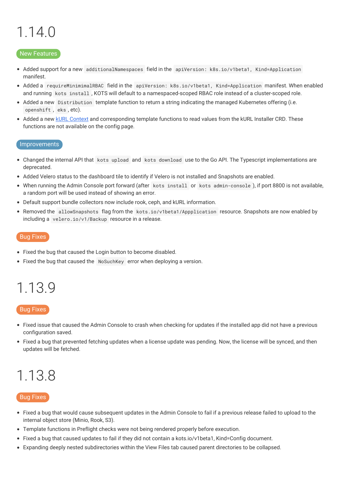# <span id="page-40-0"></span>1.14.0

#### New Features

- Added support for a new additionalNamespaces field in the apiVersion: k8s.io/v1beta1, Kind=Application manifest.
- Added a requireMinimimalRBAC field in the apiVersion: k8s.io/v1beta1, Kind=Application manifest. When enabled and running kots install , KOTS will default to a namespaced-scoped RBAC role instead of a cluster-scoped role.
- Added a new Distribution template function to return a string indicating the managed Kubernetes offering (i.e. openshift , eks , etc).
- Added a new kURL [Context](https://kots.io/reference/template-functions/kurl-context) and corresponding template functions to read values from the kURL Installer CRD. These functions are not available on the config page.

#### Improvements

- Changed the internal API that kots upload and kots download use to the Go API. The Typescript implementations are deprecated.
- Added Velero status to the dashboard tile to identify if Velero is not installed and Snapshots are enabled.
- When running the Admin Console port forward (after kots install or kots admin-console ), if port 8800 is not available, a random port will be used instead of showing an error.
- Default support bundle collectors now include rook, ceph, and kURL information.
- Removed the allowSnapshots flag from the kots.io/v1beta1/Appplication resource. Snapshots are now enabled by including a velero.io/v1/Backup resource in a release.

#### Bug Fixes

- Fixed the bug that caused the Login button to become disabled.
- Fixed the bug that caused the NoSuchKey error when deploying a version.

### <span id="page-40-1"></span>1.13.9

#### Bug Fixes

- Fixed issue that caused the Admin Console to crash when checking for updates if the installed app did not have a previous configuration saved.
- Fixed a bug that prevented fetching updates when a license update was pending. Now, the license will be synced, and then updates will be fetched.

### <span id="page-40-2"></span>1.13.8

- Fixed a bug that would cause subsequent updates in the Admin Console to fail if a previous release failed to upload to the internal object store (Minio, Rook, S3).
- Template functions in Preflight checks were not being rendered properly before execution.
- Fixed a bug that caused updates to fail if they did not contain a kots.io/v1beta1, Kind=Config document.
- Expanding deeply nested subdirectories within the View Files tab caused parent directories to be collapsed.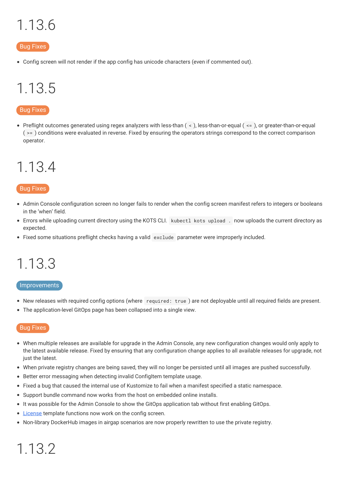# <span id="page-41-0"></span>1.13.6

#### Bug Fixes

Config screen will not render if the app config has unicode characters (even if commented out).

# <span id="page-41-1"></span>1.13.5

#### Bug Fixes

Preflight outcomes generated using regex analyzers with less-than  $($  <  $)$ , less-than-or-equal  $($  <  $=$   $)$ , or greater-than-or-equal  $(>= )$  conditions were evaluated in reverse. Fixed by ensuring the operators strings correspond to the correct comparison operator.

### <span id="page-41-2"></span>1.13.4

#### Bug Fixes

- Admin Console configuration screen no longer fails to render when the config screen manifest refers to integers or booleans in the 'when' field.
- Errors while uploading current directory using the KOTS CLI. kubectl kots upload . now uploads the current directory as expected.
- Fixed some situations preflight checks having a valid exclude parameter were improperly included.

# <span id="page-41-3"></span>1.13.3

#### Improvements

- New releases with required config options (where required: true ) are not deployable until all required fields are present.
- The application-level GitOps page has been collapsed into a single view.

#### Bug Fixes

- When multiple releases are available for upgrade in the Admin Console, any new configuration changes would only apply to the latest available release. Fixed by ensuring that any configuration change applies to all available releases for upgrade, not just the latest.
- When private registry changes are being saved, they will no longer be persisted until all images are pushed successfully.
- Better error messaging when detecting invalid ConfigItem template usage.  $\bullet$
- Fixed a bug that caused the internal use of Kustomize to fail when a manifest specified a static namespace.
- Support bundle command now works from the host on embedded online installs.  $\bullet$
- It was possible for the Admin Console to show the GitOps application tab without first enabling GitOps.
- [License](https://kots.io/reference/template-functions/license-context/) template functions now work on the config screen.
- Non-library DockerHub images in airgap scenarios are now properly rewritten to use the private registry.

# <span id="page-41-4"></span>1.13.2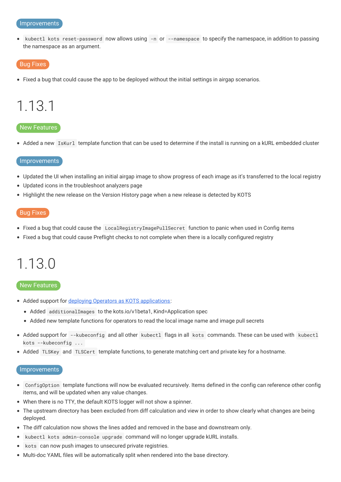#### Improvements

kubectl kots reset-password now allows using -n or --namespace to specify the namespace, in addition to passing  $\bullet$ the namespace as an argument.

#### Bug Fixes

Fixed a bug that could cause the app to be deployed without the initial settings in airgap scenarios.

### <span id="page-42-0"></span>1.13.1

#### New Features

• Added a new IsKurl template function that can be used to determine if the install is running on a kURL embedded cluster

#### Improvements

- Updated the UI when installing an initial airgap image to show progress of each image as it's transferred to the local registry
- Updated icons in the troubleshoot analyzers page
- Highlight the new release on the Version History page when a new release is detected by KOTS

#### Bug Fixes

- Fixed a bug that could cause the LocalRegistryImagePullSecret function to panic when used in Config items
- Fixed a bug that could cause Preflight checks to not complete when there is a locally configured registry

### <span id="page-42-1"></span>1.13.0

#### New Features

- Added support for deploying Operators as KOTS [applications](https://kots.io/vendor/operators/packaging-an-operator/):
	- Added additionalImages to the kots.io/v1beta1, Kind=Application spec
	- Added new template functions for operators to read the local image name and image pull secrets
- Added support for --kubeconfig and all other kubectl flags in all kots commands. These can be used with kubectl kots --kubeconfig ...
- Added TLSKey and TLSCert template functions, to generate matching cert and private key for a hostname.

#### Improvements

- ConfigOption template functions will now be evaluated recursively. Items defined in the config can reference other config  $\bullet$ items, and will be updated when any value changes.
- When there is no TTY, the default KOTS logger will not show a spinner.
- The upstream directory has been excluded from diff calculation and view in order to show clearly what changes are being deployed.
- The diff calculation now shows the lines added and removed in the base and downstream only.
- kubectl kots admin-console upgrade command will no longer upgrade kURL installs.
- kots can now push images to unsecured private registries.
- $\bullet$  Multi-doc YAML files will be automatically split when rendered into the base directory.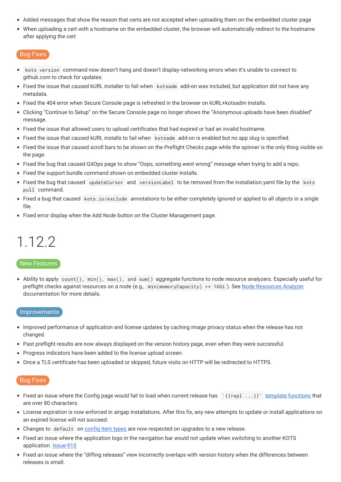- Added messages that show the reason that certs are not accepted when uploading them on the embedded cluster page
- When uploading a cert with a hostname on the embedded cluster, the browser will automatically redirect to the hostname after applying the cert

- kots version command now doesn't hang and doesn't display networking errors when it's unable to connect to  $\bullet$ github.com to check for updates.
- Fixed the issue that caused kURL installer to fail when kotsadm add-on was included, but application did not have any metadata.
- Fixed the 404 error when Secure Console page is refreshed in the browser on kURL+kotsadm installs.
- Clicking "Continue to Setup" on the Secure Console page no longer shows the "Anonymous uploads have been disabled" message.
- Fixed the issue that allowed users to upload certificates that had expired or had an invalid hostname.
- Fixed the issue that caused kURL installs to fail when kotsadm add-on is enabled but no app slug is specified.
- Fixed the issue that caused scroll bars to be shown on the Preflight Checks page while the spinner is the only thing visible on the page.
- Fixed the bug that caused GitOps page to show "Oops, something went wrong" message when trying to add a repo.
- Fixed the support bundle command shown on embedded cluster installs.
- Fixed the bug that caused updateCursor and versionLabel to be removed from the installation.yaml file by the kots pull command.
- Fixed a bug that caused kots.io/exclude annotations to be either completely ignored or applied to all objects in a single file.
- Fixed error display when the Add Node button on the Cluster Management page.

# <span id="page-43-0"></span>1.12.2

#### New Features

• Ability to apply count(), min(), max(), and sum() aggregate functions to node resource analyzers. Especially useful for preflight checks against resources on a node (e.g., min(memoryCapacity) >= 16Gi). See Node [Resources](https://troubleshoot.sh/reference/analyzers/node-resources/) Analyzer documentation for more details.

#### Improvements

- Improved performance of application and license updates by caching image privacy status when the release has not changed.
- Past preflight results are now always displayed on the version history page, even when they were successful.
- Progress indicators have been added to the license upload screen.
- Once a TLS certificate has been uploaded or skipped, future visits on HTTP will be redirected to HTTPS.

- Fixed an issue where the Config page would fail to load when current release has  $\{\{rep1 \ldots\}\}\$  template [functions](https://kots.io/reference/template-functions) that are over 80 characters.
- License expiration is now enforced in airgap installations. After this fix, any new attempts to update or install applications on an expired license will not succeed.
- Changes to default on [config](https://kots.io/reference/v1beta1/config/#available-item-types) item types are now respected on upgrades to a new release.
- Fixed an issue where the application logo in the navigation bar would not update when switching to another KOTS application. **[Issue-910](https://github.com/replicatedhq/kotsadm/issues/910)**
- Fixed an issue where the "diffing releases" view incorrectly overlaps with version history when the differences between releases is small.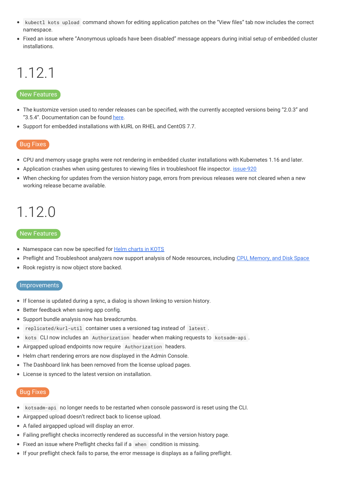- kubectl kots upload command shown for editing application patches on the "View files" tab now includes the correct namespace.
- Fixed an issue where "Anonymous uploads have been disabled" message appears during initial setup of embedded cluster installations.

# <span id="page-44-0"></span>1.12.1

#### New Features

- The kustomize version used to render releases can be specified, with the currently accepted versions being "2.0.3" and "3.5.4". Documentation can be found [here](https://kots.io/reference/v1beta1/application/).
- Support for embedded installations with kURL on RHEL and CentOS 7.7.

#### Bug Fixes

- CPU and memory usage graphs were not rendering in embedded cluster installations with Kubernetes 1.16 and later.
- Application crashes when using gestures to viewing files in troubleshoot file inspector. [issue-920](https://github.com/replicatedhq/kotsadm/issues/920)
- When checking for updates from the version history page, errors from previous releases were not cleared when a new working release became available.

### <span id="page-44-1"></span>1.12.0

#### New Features

- Namespace can now be specified for Helm [charts](https://kots.io/reference/v1beta1/helmchart/#namespace) in KOTS
- Preflight and Troubleshoot analyzers now support analysis of Node resources, including CPU, [Memory,](https://troubleshoot.sh/reference/analyzers/node-resources/) and Disk Space
- Rook registry is now object store backed.

#### **Improvements**

- If license is updated during a sync, a dialog is shown linking to version history.
- **•** Better feedback when saving app config.
- Support bundle analysis now has breadcrumbs.
- replicated/kurl-util container uses a versioned tag instead of latest .  $\bullet$
- kots CLI now includes an Authorization header when making requests to kotsadm-api .  $\bullet$
- $\bullet$ Airgapped upload endpoints now require Authorization headers.
- Helm chart rendering errors are now displayed in the Admin Console.
- The Dashboard link has been removed from the license upload pages.
- License is synced to the latest version on installation.

- kotsadm-api no longer needs to be restarted when console password is reset using the CLI.  $\bullet$
- Airgapped upload doesn't redirect back to license upload.
- A failed airgapped upload will display an error.
- Failing preflight checks incorrectly rendered as successful in the version history page.
- Fixed an issue where Preflight checks fail if a when condition is missing.
- If your preflight check fails to parse, the error message is displays as a failing preflight.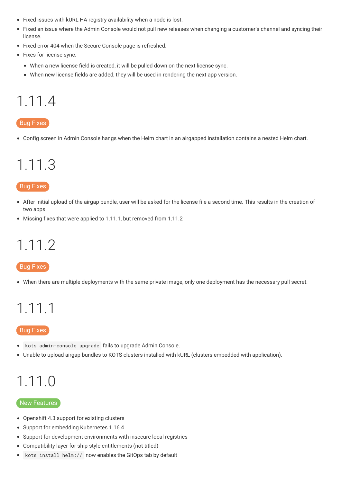- Fixed issues with kURL HA registry availability when a node is lost.
- Fixed an issue where the Admin Console would not pull new releases when changing a customer's channel and syncing their  $\bullet$ license.
- Fixed error 404 when the Secure Console page is refreshed.
- Fixes for license sync:
	- When a new license field is created, it will be pulled down on the next license sync.
	- When new license fields are added, they will be used in rendering the next app version.

# <span id="page-45-0"></span>1.11.4

#### Bug Fixes

Config screen in Admin Console hangs when the Helm chart in an airgapped installation contains a nested Helm chart.

### <span id="page-45-1"></span>1.11.3

#### Bug Fixes

- After initial upload of the airgap bundle, user will be asked for the license file a second time. This results in the creation of two apps.
- Missing fixes that were applied to 1.11.1, but removed from 1.11.2

### <span id="page-45-2"></span>1.11.2

#### **Bug Fixes**

When there are multiple deployments with the same private image, only one deployment has the necessary pull secret.

# <span id="page-45-3"></span>1.11.1

#### **Bug Fixes**

- kots admin-console upgrade fails to upgrade Admin Console.
- Unable to upload airgap bundles to KOTS clusters installed with kURL (clusters embedded with application).

# <span id="page-45-4"></span>1.11.0

#### New Features

- Openshift 4.3 support for existing clusters
- Support for embedding Kubernetes 1.16.4
- Support for development environments with insecure local registries
- Compatibility layer for ship-style entitlements (not titled)
- kots install helm:// now enables the GitOps tab by default $\bullet$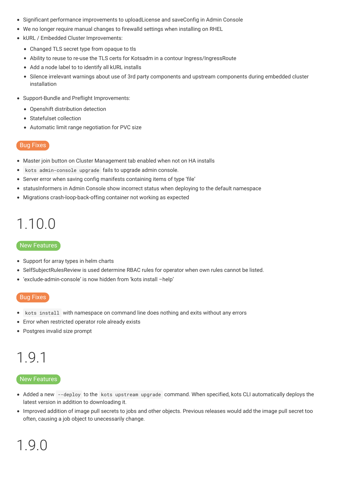- Significant performance improvements to uploadLicense and saveConfig in Admin Console
- We no longer require manual changes to firewalld settings when installing on RHEL
- kURL / Embedded Cluster Improvements:
	- Changed TLS secret type from opaque to tls
	- Ability to reuse to re-use the TLS certs for Kotsadm in a contour Ingress/IngressRoute
	- Add a node label to to identify all kURL installs
	- Silence irrelevant warnings about use of 3rd party components and upstream components during embedded cluster installation
- Support-Bundle and Preflight Improvements:
	- Openshift distribution detection
	- Statefulset collection
	- Automatic limit range negotiation for PVC size

- Master join button on Cluster Management tab enabled when not on HA installs
- kots admin-console upgrade fails to upgrade admin console.  $\bullet$
- Server error when saving config manifests containing items of type 'file'
- statusInformers in Admin Console show incorrect status when deploying to the default namespace
- Migrations crash-loop-back-offing container not working as expected

# <span id="page-46-0"></span>1.10.0

#### New Features

- Support for array types in helm charts
- SelfSubjectRulesReview is used determine RBAC rules for operator when own rules cannot be listed.
- 'exclude-admin-console' is now hidden from 'kots install –help'

#### Bug Fixes

- kots install with namespace on command line does nothing and exits without any errors
- Error when restricted operator role already exists
- Postgres invalid size prompt

# <span id="page-46-1"></span>1.9.1

#### New Features

- Added a new --deploy to the kots upstream upgrade command. When specified, kots CLI automatically deploys the latest version in addition to downloading it.
- <span id="page-46-2"></span>Improved addition of image pull secrets to jobs and other objects. Previous releases would add the image pull secret too often, causing a job object to unecessarily change.